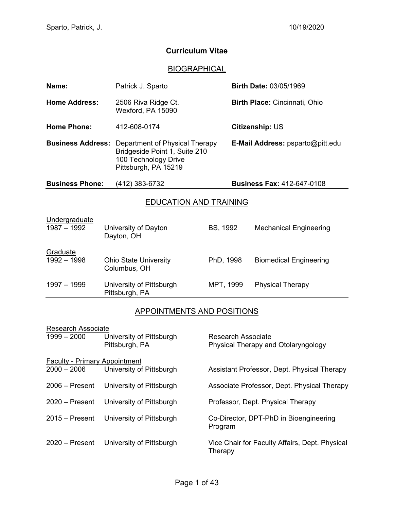# **Curriculum Vitae**

## **BIOGRAPHICAL**

| Name:                                                                | Patrick J. Sparto                                                                                               |                                         | <b>Birth Date: 03/05/1969</b>     |  |  |  |
|----------------------------------------------------------------------|-----------------------------------------------------------------------------------------------------------------|-----------------------------------------|-----------------------------------|--|--|--|
| <b>Home Address:</b>                                                 | 2506 Riva Ridge Ct.<br>Wexford, PA 15090                                                                        |                                         | Birth Place: Cincinnati, Ohio     |  |  |  |
| <b>Home Phone:</b>                                                   | 412-608-0174                                                                                                    |                                         | <b>Citizenship: US</b>            |  |  |  |
| <b>Business Address:</b>                                             | Department of Physical Therapy<br>Bridgeside Point 1, Suite 210<br>100 Technology Drive<br>Pittsburgh, PA 15219 | <b>E-Mail Address:</b> psparto@pitt.edu |                                   |  |  |  |
| <b>Business Phone:</b>                                               | (412) 383-6732                                                                                                  |                                         | <b>Business Fax: 412-647-0108</b> |  |  |  |
| <b>EDUCATION AND TRAINING</b>                                        |                                                                                                                 |                                         |                                   |  |  |  |
| Undergraduate<br>$1987 - 1992$<br>University of Dayton<br>Dayton, OH |                                                                                                                 | BS, 1992                                | <b>Mechanical Engineering</b>     |  |  |  |
| Graduate<br>$1992 - 1998$                                            | <b>Ohio State University</b><br>Columbus, OH                                                                    | PhD, 1998                               | <b>Biomedical Engineering</b>     |  |  |  |
| 1997 - 1999                                                          | University of Pittsburgh<br>Pittsburgh, PA                                                                      | MPT, 1999                               | <b>Physical Therapy</b>           |  |  |  |

# APPOINTMENTS AND POSITIONS

| <b>Research Associate</b>            |                          |                                                |  |  |  |  |
|--------------------------------------|--------------------------|------------------------------------------------|--|--|--|--|
| $1999 - 2000$                        | University of Pittsburgh | Research Associate                             |  |  |  |  |
|                                      | Pittsburgh, PA           | Physical Therapy and Otolaryngology            |  |  |  |  |
|                                      |                          |                                                |  |  |  |  |
| <b>Faculty - Primary Appointment</b> |                          |                                                |  |  |  |  |
| $2000 - 2006$                        | University of Pittsburgh | Assistant Professor, Dept. Physical Therapy    |  |  |  |  |
|                                      |                          |                                                |  |  |  |  |
| $2006 -$ Present                     | University of Pittsburgh | Associate Professor, Dept. Physical Therapy    |  |  |  |  |
|                                      |                          |                                                |  |  |  |  |
| $2020 -$ Present                     | University of Pittsburgh | Professor, Dept. Physical Therapy              |  |  |  |  |
| $2015 -$ Present                     | University of Pittsburgh | Co-Director, DPT-PhD in Bioengineering         |  |  |  |  |
|                                      |                          | Program                                        |  |  |  |  |
|                                      |                          |                                                |  |  |  |  |
| $2020 -$ Present                     | University of Pittsburgh | Vice Chair for Faculty Affairs, Dept. Physical |  |  |  |  |
|                                      |                          | Therapy                                        |  |  |  |  |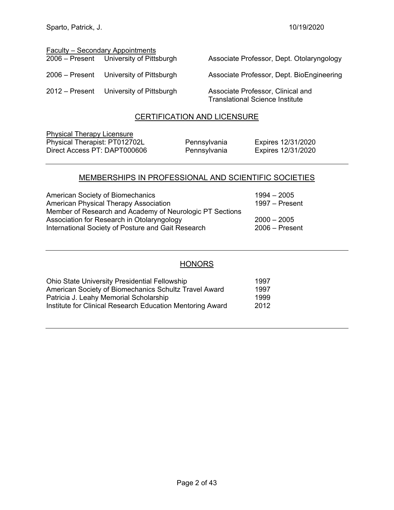| <b>Faculty - Secondary Appointments</b> |                                         |                                                                             |  |  |  |  |  |
|-----------------------------------------|-----------------------------------------|-----------------------------------------------------------------------------|--|--|--|--|--|
|                                         | 2006 – Present University of Pittsburgh | Associate Professor, Dept. Otolaryngology                                   |  |  |  |  |  |
|                                         | 2006 – Present University of Pittsburgh | Associate Professor, Dept. BioEngineering                                   |  |  |  |  |  |
|                                         | 2012 – Present University of Pittsburgh | Associate Professor, Clinical and<br><b>Translational Science Institute</b> |  |  |  |  |  |

#### CERTIFICATION AND LICENSURE

Physical Therapy Licensure Physical Therapist: PT012702L Pennsylvania Expires 12/31/2020 Direct Access PT: DAPT000606 Pennsylvania Expires 12/31/2020

## MEMBERSHIPS IN PROFESSIONAL AND SCIENTIFIC SOCIETIES

| American Society of Biomechanics                         | $1994 - 2005$    |
|----------------------------------------------------------|------------------|
| American Physical Therapy Association                    | $1997 -$ Present |
| Member of Research and Academy of Neurologic PT Sections |                  |
| Association for Research in Otolaryngology               | $2000 - 2005$    |
| International Society of Posture and Gait Research       | $2006 -$ Present |

## **HONORS**

| <b>Ohio State University Presidential Fellowship</b>      | 1997 |
|-----------------------------------------------------------|------|
| American Society of Biomechanics Schultz Travel Award     | 1997 |
| Patricia J. Leahy Memorial Scholarship                    | 1999 |
| Institute for Clinical Research Education Mentoring Award | 2012 |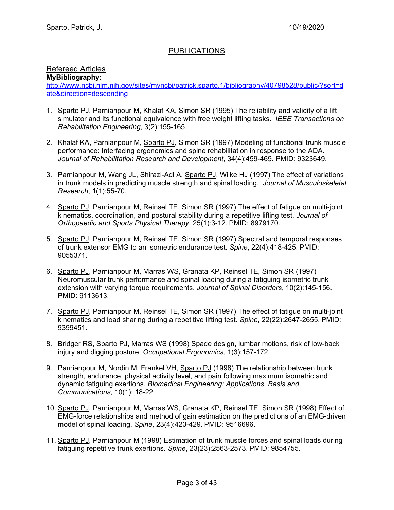## PUBLICATIONS

## Refereed Articles

**MyBibliography:**

http://www.ncbi.nlm.nih.gov/sites/myncbi/patrick.sparto.1/bibliography/40798528/public/?sort=d ate&direction=descending

- 1. Sparto PJ, Parnianpour M, Khalaf KA, Simon SR (1995) The reliability and validity of a lift simulator and its functional equivalence with free weight lifting tasks. *IEEE Transactions on Rehabilitation Engineering*, 3(2):155-165.
- 2. Khalaf KA, Parnianpour M, Sparto PJ, Simon SR (1997) Modeling of functional trunk muscle performance: Interfacing ergonomics and spine rehabilitation in response to the ADA. *Journal of Rehabilitation Research and Development*, 34(4):459-469. PMID: 9323649.
- 3. Parnianpour M, Wang JL, Shirazi-Adl A, Sparto PJ, Wilke HJ (1997) The effect of variations in trunk models in predicting muscle strength and spinal loading. *Journal of Musculoskeletal Research*, 1(1):55-70.
- 4. Sparto PJ, Parnianpour M, Reinsel TE, Simon SR (1997) The effect of fatigue on multi-joint kinematics, coordination, and postural stability during a repetitive lifting test. *Journal of Orthopaedic and Sports Physical Therapy*, 25(1):3-12. PMID: 8979170.
- 5. Sparto PJ, Parnianpour M, Reinsel TE, Simon SR (1997) Spectral and temporal responses of trunk extensor EMG to an isometric endurance test. *Spine*, 22(4):418-425. PMID: 9055371.
- 6. Sparto PJ, Parnianpour M, Marras WS, Granata KP, Reinsel TE, Simon SR (1997) Neuromuscular trunk performance and spinal loading during a fatiguing isometric trunk extension with varying torque requirements. *Journal of Spinal Disorders*, 10(2):145-156. PMID: 9113613.
- 7. Sparto PJ, Parnianpour M, Reinsel TE, Simon SR (1997) The effect of fatigue on multi-joint kinematics and load sharing during a repetitive lifting test. *Spine*, 22(22):2647-2655. PMID: 9399451.
- 8. Bridger RS, Sparto PJ, Marras WS (1998) Spade design, lumbar motions, risk of low-back injury and digging posture. *Occupational Ergonomics*, 1(3):157-172.
- 9. Parnianpour M, Nordin M, Frankel VH, Sparto PJ (1998) The relationship between trunk strength, endurance, physical activity level, and pain following maximum isometric and dynamic fatiguing exertions. *Biomedical Engineering: Applications, Basis and Communications*, 10(1): 18-22.
- 10. Sparto PJ, Parnianpour M, Marras WS, Granata KP, Reinsel TE, Simon SR (1998) Effect of EMG-force relationships and method of gain estimation on the predictions of an EMG-driven model of spinal loading. *Spine*, 23(4):423-429. PMID: 9516696.
- 11. Sparto PJ, Parnianpour M (1998) Estimation of trunk muscle forces and spinal loads during fatiguing repetitive trunk exertions. *Spine*, 23(23):2563-2573. PMID: 9854755.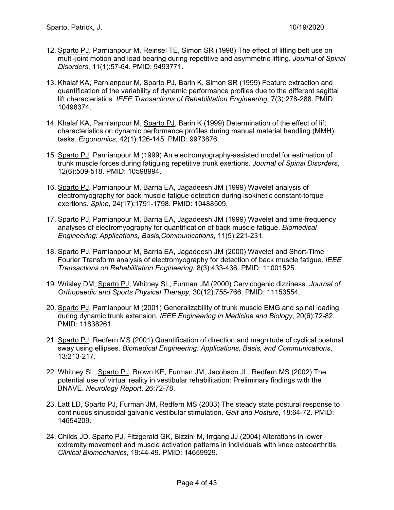- 12. Sparto PJ, Parnianpour M, Reinsel TE, Simon SR (1998) The effect of lifting belt use on multi-joint motion and load bearing during repetitive and asymmetric lifting. *Journal of Spinal Disorders*, 11(1):57-64. PMID: 9493771.
- 13. Khalaf KA, Parnianpour M, Sparto PJ, Barin K, Simon SR (1999) Feature extraction and quantification of the variability of dynamic performance profiles due to the different sagittal lift characteristics. *IEEE Transactions of Rehabilitation Engineering*, 7(3):278-288. PMID: 10498374.
- 14. Khalaf KA, Parnianpour M, Sparto PJ, Barin K (1999) Determination of the effect of lift characteristics on dynamic performance profiles during manual material handling (MMH) tasks. *Ergonomics*, 42(1):126-145. PMID: 9973876.
- 15. Sparto PJ, Parnianpour M (1999) An electromyography-assisted model for estimation of trunk muscle forces during fatiguing repetitive trunk exertions. *Journal of Spinal Disorders*, 12(6):509-518. PMID: 10598994.
- 16. Sparto PJ, Parnianpour M, Barria EA, Jagadeesh JM (1999) Wavelet analysis of electromyography for back muscle fatigue detection during isokinetic constant-torque exertions. *Spine*, 24(17):1791-1798. PMID: 10488509.
- 17. Sparto PJ, Parnianpour M, Barria EA, Jagadeesh JM (1999) Wavelet and time-frequency analyses of electromyography for quantification of back muscle fatigue. *Biomedical Engineering: Applications, Basis,Communications*, 11(5):221-231.
- 18. Sparto PJ, Parnianpour M, Barria EA, Jagadeesh JM (2000) Wavelet and Short-Time Fourier Transform analysis of electromyography for detection of back muscle fatigue. *IEEE Transactions on Rehabilitation Engineering*, 8(3):433-436. PMID: 11001525.
- 19. Wrisley DM, Sparto PJ, Whitney SL, Furman JM (2000) Cervicogenic dizziness. *Journal of Orthopaedic and Sports Physical Therapy,* 30(12):755-766. PMID: 11153554.
- 20. Sparto PJ, Parnianpour M (2001) Generalizability of trunk muscle EMG and spinal loading during dynamic trunk extension. *IEEE Engineering in Medicine and Biology*, 20(6):72-82. PMID: 11838261.
- 21. Sparto PJ, Redfern MS (2001) Quantification of direction and magnitude of cyclical postural sway using ellipses. *Biomedical Engineering: Applications, Basis, and Communications*, 13:213-217.
- 22. Whitney SL, Sparto PJ, Brown KE, Furman JM, Jacobson JL, Redfern MS (2002) The potential use of virtual reality in vestibular rehabilitation: Preliminary findings with the BNAVE. *Neurology Report*, 26:72-78.
- 23. Latt LD, Sparto PJ, Furman JM, Redfern MS (2003) The steady state postural response to continuous sinusoidal galvanic vestibular stimulation. *Gait and Posture*, 18:64-72. PMID: 14654209.
- 24. Childs JD, Sparto PJ, Fitzgerald GK, Bizzini M, Irrgang JJ (2004) Alterations in lower extremity movement and muscle activation patterns in individuals with knee osteoarthritis. *Clinical Biomechanics*, 19:44-49. PMID: 14659929.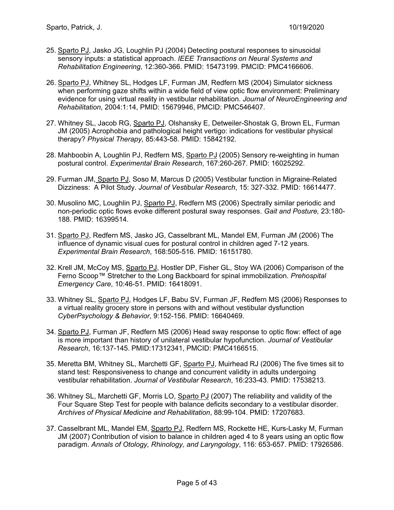- 25. Sparto PJ, Jasko JG, Loughlin PJ (2004) Detecting postural responses to sinusoidal sensory inputs: a statistical approach. *IEEE Transactions on Neural Systems and Rehabilitation Engineering*, 12:360-366. PMID: 15473199. PMCID: PMC4166606.
- 26. Sparto PJ, Whitney SL, Hodges LF, Furman JM, Redfern MS (2004) Simulator sickness when performing gaze shifts within a wide field of view optic flow environment: Preliminary evidence for using virtual reality in vestibular rehabilitation. *Journal of NeuroEngineering and Rehabilitation*, 2004:1:14, PMID: 15679946, PMCID: PMC546407.
- 27. Whitney SL, Jacob RG, Sparto PJ, Olshansky E, Detweiler-Shostak G, Brown EL, Furman JM (2005) Acrophobia and pathological height vertigo: indications for vestibular physical therapy? *Physical Therapy,* 85:443-58. PMID: 15842192.
- 28. Mahboobin A, Loughlin PJ, Redfern MS, Sparto PJ (2005) Sensory re-weighting in human postural control. *Experimental Brain Research*, 167:260-267. PMID: 16025292.
- 29. Furman JM, Sparto PJ, Soso M, Marcus D (2005) Vestibular function in Migraine-Related Dizziness: A Pilot Study. *Journal of Vestibular Research*, 15: 327-332. PMID: 16614477.
- 30. Musolino MC, Loughlin PJ, Sparto PJ, Redfern MS (2006) Spectrally similar periodic and non-periodic optic flows evoke different postural sway responses. *Gait and Posture,* 23:180- 188. PMID: 16399514.
- 31. Sparto PJ, Redfern MS, Jasko JG, Casselbrant ML, Mandel EM, Furman JM (2006) The influence of dynamic visual cues for postural control in children aged 7-12 years. *Experimental Brain Research*, 168:505-516. PMID: 16151780.
- 32. Krell JM, McCoy MS, Sparto PJ, Hostler DP, Fisher GL, Stoy WA (2006) Comparison of the Ferno Scoop™ Stretcher to the Long Backboard for spinal immobilization. *Prehospital Emergency Care*, 10:46-51. PMID: 16418091.
- 33. Whitney SL, Sparto PJ, Hodges LF, Babu SV, Furman JF, Redfern MS (2006) Responses to a virtual reality grocery store in persons with and without vestibular dysfunction *CyberPsychology & Behavior*, 9:152-156. PMID: 16640469.
- 34. Sparto PJ, Furman JF, Redfern MS (2006) Head sway response to optic flow: effect of age is more important than history of unilateral vestibular hypofunction. *Journal of Vestibular Research*, 16:137-145. PMID:17312341, PMCID: PMC4166515.
- 35. Meretta BM, Whitney SL, Marchetti GF, Sparto PJ, Muirhead RJ (2006) The five times sit to stand test: Responsiveness to change and concurrent validity in adults undergoing vestibular rehabilitation. *Journal of Vestibular Research*, 16:233-43. PMID: 17538213.
- 36. Whitney SL, Marchetti GF, Morris LO, Sparto PJ (2007) The reliability and validity of the Four Square Step Test for people with balance deficits secondary to a vestibular disorder. *Archives of Physical Medicine and Rehabilitation*, 88:99-104. PMID: 17207683.
- 37. Casselbrant ML, Mandel EM, Sparto PJ, Redfern MS, Rockette HE, Kurs-Lasky M, Furman JM (2007) Contribution of vision to balance in children aged 4 to 8 years using an optic flow paradigm. *Annals of Otology, Rhinology, and Laryngology*, 116: 653-657. PMID: 17926586.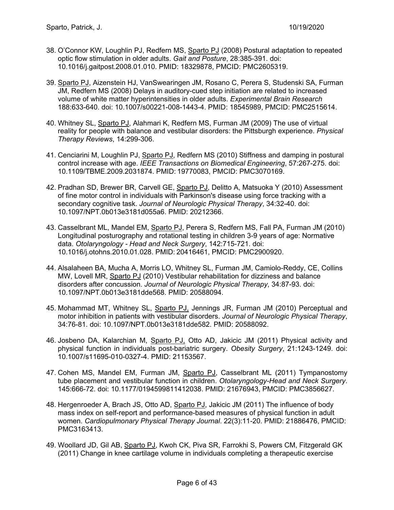- 38. O'Connor KW, Loughlin PJ, Redfern MS, Sparto PJ (2008) Postural adaptation to repeated optic flow stimulation in older adults. *Gait and Posture*, 28:385-391. doi: 10.1016/j.gaitpost.2008.01.010. PMID: 18329878, PMCID: PMC2605319.
- 39. Sparto PJ, Aizenstein HJ, VanSwearingen JM, Rosano C, Perera S, Studenski SA, Furman JM, Redfern MS (2008) Delays in auditory-cued step initiation are related to increased volume of white matter hyperintensities in older adults. *Experimental Brain Research* 188:633-640. doi: 10.1007/s00221-008-1443-4. PMID: 18545989, PMCID: PMC2515614.
- 40. Whitney SL, Sparto PJ, Alahmari K, Redfern MS, Furman JM (2009) The use of virtual reality for people with balance and vestibular disorders: the Pittsburgh experience. *Physical Therapy Reviews*, 14:299-306.
- 41. Cenciarini M, Loughlin PJ, Sparto PJ, Redfern MS (2010) Stiffness and damping in postural control increase with age. *IEEE Transactions on Biomedical Engineering*, 57:267-275. doi: 10.1109/TBME.2009.2031874. PMID: 19770083, PMCID: PMC3070169.
- 42. Pradhan SD, Brewer BR, Carvell GE, Sparto PJ, Delitto A, Matsuoka Y (2010) Assessment of fine motor control in individuals with Parkinson's disease using force tracking with a secondary cognitive task. *Journal of Neurologic Physical Therapy*, 34:32-40. doi: 10.1097/NPT.0b013e3181d055a6. PMID: 20212366.
- 43. Casselbrant ML, Mandel EM, Sparto PJ, Perera S, Redfern MS, Fall PA, Furman JM (2010) Longitudinal posturography and rotational testing in children 3-9 years of age: Normative data. *Otolaryngology - Head and Neck Surgery*, 142:715-721. doi: 10.1016/j.otohns.2010.01.028. PMID: 20416461, PMCID: PMC2900920.
- 44. Alsalaheen BA, Mucha A, Morris LO, Whitney SL, Furman JM, Camiolo-Reddy, CE, Collins MW, Lovell MR, Sparto PJ (2010) Vestibular rehabilitation for dizziness and balance disorders after concussion. *Journal of Neurologic Physical Therapy*, 34:87-93. doi: 10.1097/NPT.0b013e3181dde568. PMID: 20588094.
- 45. Mohammad MT, Whitney SL, Sparto PJ, Jennings JR, Furman JM (2010) Perceptual and motor inhibition in patients with vestibular disorders. *Journal of Neurologic Physical Therapy*, 34:76-81. doi: 10.1097/NPT.0b013e3181dde582. PMID: 20588092.
- 46. Josbeno DA, Kalarchian M, Sparto PJ, Otto AD, Jakicic JM (2011) Physical activity and physical function in individuals post-bariatric surgery. *Obesity Surgery*, 21:1243-1249. doi: 10.1007/s11695-010-0327-4. PMID: 21153567.
- 47. Cohen MS, Mandel EM, Furman JM, Sparto PJ, Casselbrant ML (2011) Tympanostomy tube placement and vestibular function in children. *Otolaryngology-Head and Neck Surgery*. 145:666-72. doi: 10.1177/0194599811412038. PMID: 21676943, PMCID: PMC3856627.
- 48. Hergenroeder A, Brach JS, Otto AD, Sparto PJ, Jakicic JM (2011) The influence of body mass index on self-report and performance-based measures of physical function in adult women. *Cardiopulmonary Physical Therapy Journal*. 22(3):11-20. PMID: 21886476, PMCID: PMC3163413.
- 49. Woollard JD, Gil AB, Sparto PJ, Kwoh CK, Piva SR, Farrokhi S, Powers CM, Fitzgerald GK (2011) Change in knee cartilage volume in individuals completing a therapeutic exercise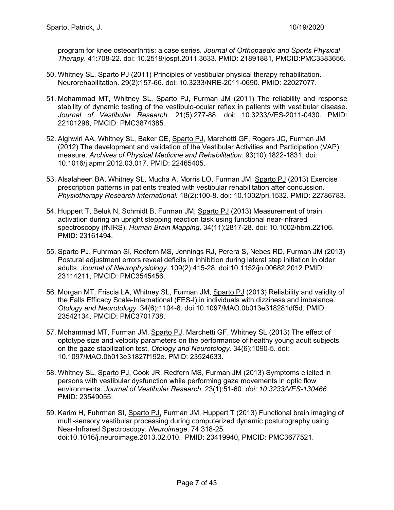program for knee osteoarthritis: a case series. *Journal of Orthopaedic and Sports Physical Therapy*. 41:708-22. doi: 10.2519/jospt.2011.3633. PMID: 21891881, PMCID:PMC3383656.

- 50. Whitney SL, Sparto PJ (2011) Principles of vestibular physical therapy rehabilitation. Neurorehabilitation. 29(2):157-66. doi: 10.3233/NRE-2011-0690. PMID: 22027077.
- 51. Mohammad MT, Whitney SL, Sparto PJ, Furman JM (2011) The reliability and response stability of dynamic testing of the vestibulo-ocular reflex in patients with vestibular disease. *Journal of Vestibular Research*. 21(5):277-88. doi: 10.3233/VES-2011-0430. PMID: 22101298, PMCID: PMC3874385.
- 52. Alghwiri AA, Whitney SL, Baker CE, Sparto PJ, Marchetti GF, Rogers JC, Furman JM (2012) The development and validation of the Vestibular Activities and Participation (VAP) measure. *Archives of Physical Medicine and Rehabilitation*. 93(10):1822-1831. doi: 10.1016/j.apmr.2012.03.017. PMID: 22465405.
- 53. Alsalaheen BA, Whitney SL, Mucha A, Morris LO, Furman JM, Sparto PJ (2013) Exercise prescription patterns in patients treated with vestibular rehabilitation after concussion. *Physiotherapy Research International.* 18(2):100-8. doi: 10.1002/pri.1532. PMID: 22786783.
- 54. Huppert T, Beluk N, Schmidt B, Furman JM, Sparto PJ (2013) Measurement of brain activation during an upright stepping reaction task using functional near-infrared spectroscopy (fNIRS). *Human Brain Mapping*. 34(11):2817-28. doi: 10.1002/hbm.22106. PMID: 23161494.
- 55. Sparto PJ, Fuhrman SI, Redfern MS, Jennings RJ, Perera S, Nebes RD, Furman JM (2013) Postural adjustment errors reveal deficits in inhibition during lateral step initiation in older adults. *Journal of Neurophysiology.* 109(2):415-28. doi:10.1152/jn.00682.2012 PMID: 23114211, PMCID: PMC3545456.
- 56. Morgan MT, Friscia LA, Whitney SL, Furman JM, Sparto PJ (2013) Reliability and validity of the Falls Efficacy Scale-International (FES-I) in individuals with dizziness and imbalance. *Otology and Neurotology.* 34(6):1104-8. doi:10.1097/MAO.0b013e318281df5d. PMID: 23542134, PMCID: PMC3701738.
- 57. Mohammad MT, Furman JM, Sparto PJ, Marchetti GF, Whitney SL (2013) The effect of optotype size and velocity parameters on the performance of healthy young adult subjects on the gaze stabilization test. *Otology and Neurotology.* 34(6):1090-5. doi: 10.1097/MAO.0b013e31827f192e. PMID: 23524633.
- 58. Whitney SL, Sparto PJ, Cook JR, Redfern MS, Furman JM (2013) Symptoms elicited in persons with vestibular dysfunction while performing gaze movements in optic flow environments. *Journal of Vestibular Research.* 23(1):51-60. *doi: 10.3233/VES-130466*. PMID: 23549055.
- 59. Karim H, Fuhrman SI, Sparto PJ, Furman JM, Huppert T (2013) Functional brain imaging of multi-sensory vestibular processing during computerized dynamic posturography using Near-Infrared Spectroscopy. *Neuroimage*. 74:318-25. doi:10.1016/j.neuroimage.2013.02.010. PMID: 23419940, PMCID: PMC3677521.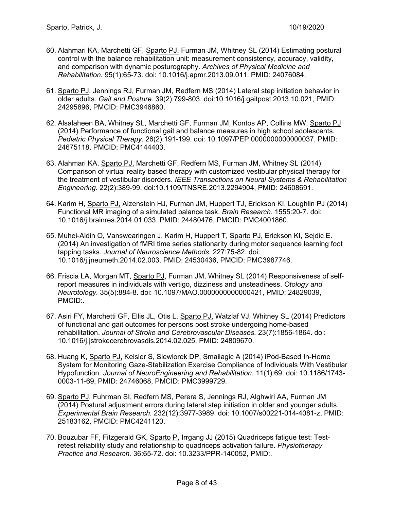- 60. Alahmari KA, Marchetti GF, Sparto PJ, Furman JM, Whitney SL (2014) Estimating postural control with the balance rehabilitation unit: measurement consistency, accuracy, validity, and comparison with dynamic posturography. *Archives of Physical Medicine and Rehabilitation.* 95(1):65-73. doi: 10.1016/j.apmr.2013.09.011. PMID: 24076084.
- 61. Sparto PJ, Jennings RJ, Furman JM, Redfern MS (2014) Lateral step initiation behavior in older adults. *Gait and Posture.* 39(2):799-803. doi:10.1016/j.gaitpost.2013.10.021, PMID: 24295896, PMCID: PMC3946860.
- 62. Alsalaheen BA, Whitney SL, Marchetti GF, Furman JM, Kontos AP, Collins MW, Sparto PJ (2014) Performance of functional gait and balance measures in high school adolescents. *Pediatric Physical Therapy.* 26(2):191-199. doi: 10.1097/PEP.0000000000000037, PMID: 24675118. PMCID: PMC4144403.
- 63. Alahmari KA, Sparto PJ, Marchetti GF, Redfern MS, Furman JM, Whitney SL (2014) Comparison of virtual reality based therapy with customized vestibular physical therapy for the treatment of vestibular disorders. *IEEE Transactions on Neural Systems & Rehabilitation Engineering.* 22(2):389-99. doi:10.1109/TNSRE.2013.2294904, PMID: 24608691.
- 64. Karim H, Sparto PJ, Aizenstein HJ, Furman JM, Huppert TJ, Erickson KI, Loughlin PJ (2014) Functional MR imaging of a simulated balance task. *Brain Research*. 1555:20-7. doi: 10.1016/j.brainres.2014.01.033. PMID: 24480476, PMCID: PMC4001860.
- 65. Muhei-Aldin O, Vanswearingen J, Karim H, Huppert T, Sparto PJ, Erickson KI, Sejdic E. (2014) An investigation of fMRI time series stationarity during motor sequence learning foot tapping tasks. *Journal of Neuroscience Methods*. 227:75-82. doi: 10.1016/j.jneumeth.2014.02.003. PMID: 24530436, PMCID: PMC3987746.
- 66. Friscia LA, Morgan MT, Sparto PJ, Furman JM, Whitney SL (2014) Responsiveness of selfreport measures in individuals with vertigo, dizziness and unsteadiness. *Otology and Neurotology.* 35(5):884-8. doi: 10.1097/MAO.0000000000000421, PMID: 24829039, PMCID:.
- 67. Asiri FY, Marchetti GF, Ellis JL, Otis L, Sparto PJ, Watzlaf VJ, Whitney SL (2014) Predictors of functional and gait outcomes for persons post stroke undergoing home-based rehabilitation. *Journal of Stroke and Cerebrovascular Diseases.* 23(7):1856-1864. doi: 10.1016/j.jstrokecerebrovasdis.2014.02.025, PMID: 24809670.
- 68. Huang K, Sparto PJ, Keisler S, Siewiorek DP, Smailagic A (2014) iPod-Based In-Home System for Monitoring Gaze-Stabilization Exercise Compliance of Individuals With Vestibular Hypofunction. *Journal of NeuroEngineering and Rehabilitation.* 11(1):69. doi: 10.1186/1743- 0003-11-69, PMID: 24746068, PMCID: PMC3999729.
- 69. Sparto PJ, Fuhrman SI, Redfern MS, Perera S, Jennings RJ, Alghwiri AA, Furman JM (2014) Postural adjustment errors during lateral step initiation in older and younger adults. *Experimental Brain Research.* 232(12):3977-3989. doi: 10.1007/s00221-014-4081-z, PMID: 25183162, PMCID: PMC4241120.
- 70. Bouzubar FF, Fitzgerald GK, Sparto P, Irrgang JJ (2015) Quadriceps fatigue test: Testretest reliability study and relationship to quadriceps activation failure. *Physiotherapy Practice and Research.* 36:65-72. doi: 10.3233/PPR-140052, PMID:.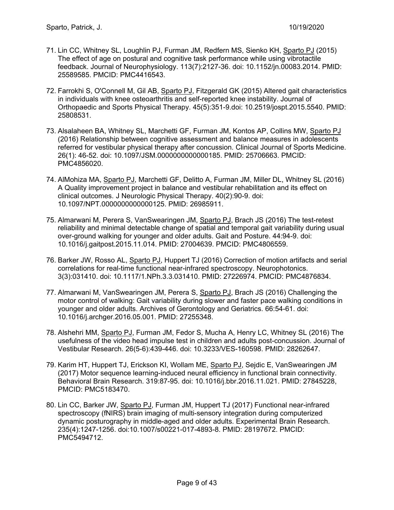- 71. Lin CC, Whitney SL, Loughlin PJ, Furman JM, Redfern MS, Sienko KH, Sparto PJ (2015) The effect of age on postural and cognitive task performance while using vibrotactile feedback. Journal of Neurophysiology. 113(7):2127-36. doi: 10.1152/jn.00083.2014. PMID: 25589585. PMCID: PMC4416543.
- 72. Farrokhi S, O'Connell M, Gil AB, Sparto PJ, Fitzgerald GK (2015) Altered gait characteristics in individuals with knee osteoarthritis and self-reported knee instability. Journal of Orthopaedic and Sports Physical Therapy. 45(5):351-9.doi: 10.2519/jospt.2015.5540. PMID: 25808531.
- 73. Alsalaheen BA, Whitney SL, Marchetti GF, Furman JM, Kontos AP, Collins MW, Sparto PJ (2016) Relationship between cognitive assessment and balance measures in adolescents referred for vestibular physical therapy after concussion. Clinical Journal of Sports Medicine. 26(1): 46-52. doi: 10.1097/JSM.0000000000000185. PMID: 25706663. PMCID: PMC4856020.
- 74. AlMohiza MA, Sparto PJ, Marchetti GF, Delitto A, Furman JM, Miller DL, Whitney SL (2016) A Quality improvement project in balance and vestibular rehabilitation and its effect on clinical outcomes. J Neurologic Physical Therapy. 40(2):90-9. doi: 10.1097/NPT.0000000000000125. PMID: 26985911.
- 75. Almarwani M, Perera S, VanSwearingen JM, Sparto PJ, Brach JS (2016) The test-retest reliability and minimal detectable change of spatial and temporal gait variability during usual over-ground walking for younger and older adults. Gait and Posture. 44:94-9. doi: 10.1016/j.gaitpost.2015.11.014. PMID: 27004639. PMCID: PMC4806559.
- 76. Barker JW, Rosso AL, Sparto PJ, Huppert TJ (2016) Correction of motion artifacts and serial correlations for real-time functional near-infrared spectroscopy. Neurophotonics. 3(3):031410. doi: 10.1117/1.NPh.3.3.031410. PMID: 27226974. PMCID: PMC4876834.
- 77. Almarwani M, VanSwearingen JM, Perera S, Sparto PJ, Brach JS (2016) Challenging the motor control of walking: Gait variability during slower and faster pace walking conditions in younger and older adults. Archives of Gerontology and Geriatrics. 66:54-61. doi: 10.1016/j.archger.2016.05.001. PMID: 27255348.
- 78. Alshehri MM, Sparto PJ, Furman JM, Fedor S, Mucha A, Henry LC, Whitney SL (2016) The usefulness of the video head impulse test in children and adults post-concussion. Journal of Vestibular Research. 26(5-6):439-446. doi: 10.3233/VES-160598. PMID: 28262647.
- 79. Karim HT, Huppert TJ, Erickson KI, Wollam ME, Sparto PJ, Sejdic E, VanSwearingen JM (2017) Motor sequence learning-induced neural efficiency in functional brain connectivity. Behavioral Brain Research. 319:87-95. doi: 10.1016/j.bbr.2016.11.021. PMID: 27845228, PMCID: PMC5183470.
- 80. Lin CC, Barker JW, Sparto PJ, Furman JM, Huppert TJ (2017) Functional near-infrared spectroscopy (fNIRS) brain imaging of multi-sensory integration during computerized dynamic posturography in middle-aged and older adults. Experimental Brain Research. 235(4):1247-1256. doi:10.1007/s00221-017-4893-8. PMID: 28197672. PMCID: PMC5494712.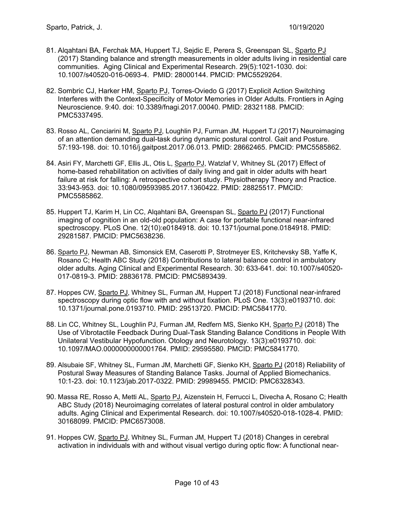- 81. Alqahtani BA, Ferchak MA, Huppert TJ, Sejdic E, Perera S, Greenspan SL, Sparto PJ (2017) Standing balance and strength measurements in older adults living in residential care communities. Aging Clinical and Experimental Research. 29(5):1021-1030. doi: 10.1007/s40520-016-0693-4. PMID: 28000144. PMCID: PMC5529264.
- 82. Sombric CJ, Harker HM, Sparto PJ, Torres-Oviedo G (2017) Explicit Action Switching Interferes with the Context-Specificity of Motor Memories in Older Adults. Frontiers in Aging Neuroscience. 9:40. doi: 10.3389/fnagi.2017.00040. PMID: 28321188. PMCID: PMC5337495.
- 83. Rosso AL, Cenciarini M, Sparto PJ, Loughlin PJ, Furman JM, Huppert TJ (2017) Neuroimaging of an attention demanding dual-task during dynamic postural control. Gait and Posture. 57:193-198. doi: 10.1016/j.gaitpost.2017.06.013. PMID: 28662465. PMCID: PMC5585862.
- 84. Asiri FY, Marchetti GF, Ellis JL, Otis L, Sparto PJ, Watzlaf V, Whitney SL (2017) Effect of home-based rehabilitation on activities of daily living and gait in older adults with heart failure at risk for falling: A retrospective cohort study. Physiotherapy Theory and Practice. 33:943-953. doi: 10.1080/09593985.2017.1360422. PMID: 28825517. PMCID: PMC5585862.
- 85. Huppert TJ, Karim H, Lin CC, Alqahtani BA, Greenspan SL, Sparto PJ (2017) Functional imaging of cognition in an old-old population: A case for portable functional near-infrared spectroscopy. PLoS One. 12(10):e0184918. doi: 10.1371/journal.pone.0184918. PMID: 29281587. PMCID: PMC5638236.
- 86. Sparto PJ, Newman AB, Simonsick EM, Caserotti P, Strotmeyer ES, Kritchevsky SB, Yaffe K, Rosano C; Health ABC Study (2018) Contributions to lateral balance control in ambulatory older adults. Aging Clinical and Experimental Research. 30: 633-641. doi: 10.1007/s40520- 017-0819-3. PMID: 28836178. PMCID: PMC5893439.
- 87. Hoppes CW, Sparto PJ, Whitney SL, Furman JM, Huppert TJ (2018) Functional near-infrared spectroscopy during optic flow with and without fixation. PLoS One. 13(3):e0193710. doi: 10.1371/journal.pone.0193710. PMID: 29513720. PMCID: PMC5841770.
- 88. Lin CC, Whitney SL, Loughlin PJ, Furman JM, Redfern MS, Sienko KH, Sparto PJ (2018) The Use of Vibrotactile Feedback During Dual-Task Standing Balance Conditions in People With Unilateral Vestibular Hypofunction. Otology and Neurotology. 13(3):e0193710. doi: 10.1097/MAO.0000000000001764. PMID: 29595580. PMCID: PMC5841770.
- 89. Alsubaie SF, Whitney SL, Furman JM, Marchetti GF, Sienko KH, Sparto PJ (2018) Reliability of Postural Sway Measures of Standing Balance Tasks. Journal of Applied Biomechanics. 10:1-23. doi: 10.1123/jab.2017-0322. PMID: 29989455. PMCID: PMC6328343.
- 90. Massa RE, Rosso A, Metti AL, Sparto PJ, Aizenstein H, Ferrucci L, Divecha A, Rosano C; Health ABC Study (2018) Neuroimaging correlates of lateral postural control in older ambulatory adults. Aging Clinical and Experimental Research. doi: 10.1007/s40520-018-1028-4. PMID: 30168099. PMCID: PMC6573008.
- 91. Hoppes CW, Sparto PJ, Whitney SL, Furman JM, Huppert TJ (2018) Changes in cerebral activation in individuals with and without visual vertigo during optic flow: A functional near-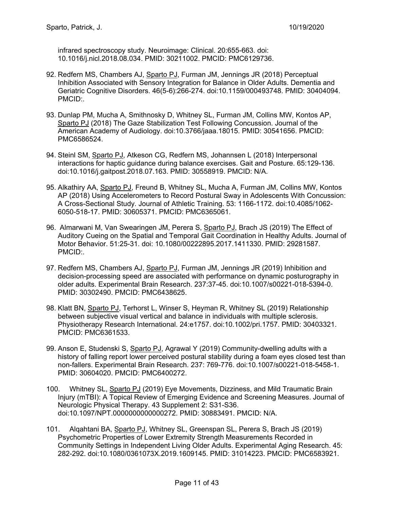infrared spectroscopy study. Neuroimage: Clinical. 20:655-663. doi: 10.1016/j.nicl.2018.08.034. PMID: 30211002. PMCID: PMC6129736.

- 92. Redfern MS, Chambers AJ, Sparto PJ, Furman JM, Jennings JR (2018) Perceptual Inhibition Associated with Sensory Integration for Balance in Older Adults. Dementia and Geriatric Cognitive Disorders. 46(5-6):266-274. doi:10.1159/000493748. PMID: 30404094. PMCID:.
- 93. Dunlap PM, Mucha A, Smithnosky D, Whitney SL, Furman JM, Collins MW, Kontos AP, Sparto PJ (2018) The Gaze Stabilization Test Following Concussion. Journal of the American Academy of Audiology. doi:10.3766/jaaa.18015. PMID: 30541656. PMCID: PMC6586524.
- 94. Steinl SM, Sparto PJ, Atkeson CG, Redfern MS, Johannsen L (2018) Interpersonal interactions for haptic guidance during balance exercises. Gait and Posture. 65:129-136. doi:10.1016/j.gaitpost.2018.07.163. PMID: 30558919. PMCID: N/A.
- 95. Alkathiry AA, Sparto PJ, Freund B, Whitney SL, Mucha A, Furman JM, Collins MW, Kontos AP (2018) Using Accelerometers to Record Postural Sway in Adolescents With Concussion: A Cross-Sectional Study. Journal of Athletic Training. 53: 1166-1172. doi:10.4085/1062- 6050-518-17. PMID: 30605371. PMCID: PMC6365061.
- 96. Almarwani M, Van Swearingen JM, Perera S, Sparto PJ, Brach JS (2019) The Effect of Auditory Cueing on the Spatial and Temporal Gait Coordination in Healthy Adults. Journal of Motor Behavior. 51:25-31. doi: 10.1080/00222895.2017.1411330. PMID: 29281587. PMCID:.
- 97. Redfern MS, Chambers AJ, Sparto PJ, Furman JM, Jennings JR (2019) Inhibition and decision-processing speed are associated with performance on dynamic posturography in older adults. Experimental Brain Research. 237:37-45. doi:10.1007/s00221-018-5394-0. PMID: 30302490. PMCID: PMC6438625.
- 98. Klatt BN, Sparto PJ, Terhorst L, Winser S, Heyman R, Whitney SL (2019) Relationship between subjective visual vertical and balance in individuals with multiple sclerosis. Physiotherapy Research International. 24:e1757. doi:10.1002/pri.1757. PMID: 30403321. PMCID: PMC6361533.
- 99. Anson E, Studenski S, Sparto PJ, Agrawal Y (2019) Community-dwelling adults with a history of falling report lower perceived postural stability during a foam eyes closed test than non-fallers. Experimental Brain Research. 237: 769-776. doi:10.1007/s00221-018-5458-1. PMID: 30604020. PMCID: PMC6400272.
- 100. Whitney SL, Sparto PJ (2019) Eye Movements, Dizziness, and Mild Traumatic Brain Injury (mTBI): A Topical Review of Emerging Evidence and Screening Measures. Journal of Neurologic Physical Therapy. 43 Supplement 2: S31-S36. doi:10.1097/NPT.0000000000000272. PMID: 30883491. PMCID: N/A.
- 101. Alqahtani BA, Sparto PJ, Whitney SL, Greenspan SL, Perera S, Brach JS (2019) Psychometric Properties of Lower Extremity Strength Measurements Recorded in Community Settings in Independent Living Older Adults. Experimental Aging Research. 45: 282-292. doi:10.1080/0361073X.2019.1609145. PMID: 31014223. PMCID: PMC6583921.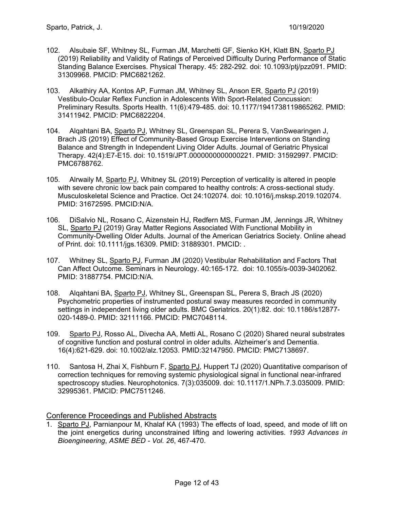- 102. Alsubaie SF, Whitney SL, Furman JM, Marchetti GF, Sienko KH, Klatt BN, Sparto PJ (2019) Reliability and Validity of Ratings of Perceived Difficulty During Performance of Static Standing Balance Exercises. Physical Therapy. 45: 282-292. doi: 10.1093/ptj/pzz091. PMID: 31309968. PMCID: PMC6821262.
- 103. Alkathiry AA, Kontos AP, Furman JM, Whitney SL, Anson ER, Sparto PJ (2019) Vestibulo-Ocular Reflex Function in Adolescents With Sport-Related Concussion: Preliminary Results. Sports Health. 11(6):479-485. doi: 10.1177/1941738119865262. PMID: 31411942. PMCID: PMC6822204.
- 104. Alqahtani BA, Sparto PJ, Whitney SL, Greenspan SL, Perera S, VanSwearingen J, Brach JS (2019) Effect of Community-Based Group Exercise Interventions on Standing Balance and Strength in Independent Living Older Adults. Journal of Geriatric Physical Therapy. 42(4):E7-E15. doi: 10.1519/JPT.0000000000000221. PMID: 31592997. PMCID: PMC6788762.
- 105. Alrwaily M, Sparto PJ, Whitney SL (2019) Perception of verticality is altered in people with severe chronic low back pain compared to healthy controls: A cross-sectional study. Musculoskeletal Science and Practice. Oct 24:102074. doi: 10.1016/j.msksp.2019.102074. PMID: 31672595. PMCID:N/A.
- 106. DiSalvio NL, Rosano C, Aizenstein HJ, Redfern MS, Furman JM, Jennings JR, Whitney SL, Sparto PJ (2019) Gray Matter Regions Associated With Functional Mobility in Community-Dwelling Older Adults. Journal of the American Geriatrics Society. Online ahead of Print. doi: 10.1111/jgs.16309. PMID: 31889301. PMCID: .
- 107. Whitney SL, Sparto PJ, Furman JM (2020) Vestibular Rehabilitation and Factors That Can Affect Outcome. Seminars in Neurology. 40:165-172. doi: 10.1055/s-0039-3402062. PMID: 31887754. PMCID:N/A.
- 108. Alqahtani BA, Sparto PJ, Whitney SL, Greenspan SL, Perera S, Brach JS (2020) Psychometric properties of instrumented postural sway measures recorded in community settings in independent living older adults. BMC Geriatrics. 20(1):82. doi: 10.1186/s12877- 020-1489-0. PMID: 32111166. PMCID: PMC7048114.
- 109. Sparto PJ, Rosso AL, Divecha AA, Metti AL, Rosano C (2020) Shared neural substrates of cognitive function and postural control in older adults. Alzheimer's and Dementia. 16(4):621-629. doi: 10.1002/alz.12053. PMID:32147950. PMCID: PMC7138697.
- 110. Santosa H, Zhai X, Fishburn F, Sparto PJ, Huppert TJ (2020) Quantitative comparison of correction techniques for removing systemic physiological signal in functional near-infrared spectroscopy studies. Neurophotonics. 7(3):035009. doi: 10.1117/1.NPh.7.3.035009. PMID: 32995361. PMCID: PMC7511246.

#### Conference Proceedings and Published Abstracts

1. Sparto PJ, Parnianpour M, Khalaf KA (1993) The effects of load, speed, and mode of lift on the joint energetics during unconstrained lifting and lowering activities. *1993 Advances in Bioengineering*, *ASME BED - Vol. 26*, 467-470.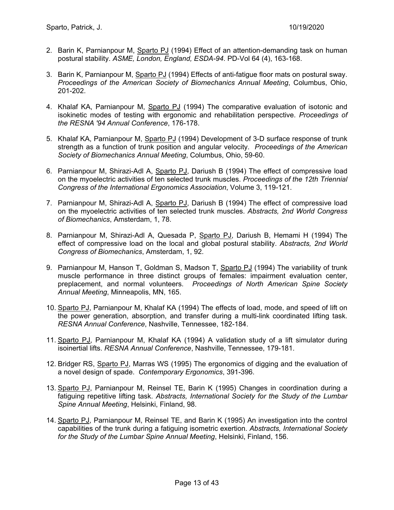- 2. Barin K, Parnianpour M, Sparto PJ (1994) Effect of an attention-demanding task on human postural stability. *ASME, London, England, ESDA-94*. PD-Vol 64 (4), 163-168.
- 3. Barin K, Parnianpour M, Sparto PJ (1994) Effects of anti-fatigue floor mats on postural sway. *Proceedings of the American Society of Biomechanics Annual Meeting*, Columbus, Ohio, 201-202.
- 4. Khalaf KA, Parnianpour M, Sparto PJ (1994) The comparative evaluation of isotonic and isokinetic modes of testing with ergonomic and rehabilitation perspective. *Proceedings of the RESNA '94 Annual Conference*, 176-178.
- 5. Khalaf KA, Parnianpour M, Sparto PJ (1994) Development of 3-D surface response of trunk strength as a function of trunk position and angular velocity. *Proceedings of the American Society of Biomechanics Annual Meeting*, Columbus, Ohio, 59-60.
- 6. Parnianpour M, Shirazi-Adl A, Sparto PJ, Dariush B (1994) The effect of compressive load on the myoelectric activities of ten selected trunk muscles. *Proceedings of the 12th Triennial Congress of the International Ergonomics Association*, Volume 3, 119-121.
- 7. Parnianpour M, Shirazi-Adl A, Sparto PJ, Dariush B (1994) The effect of compressive load on the myoelectric activities of ten selected trunk muscles. *Abstracts, 2nd World Congress of Biomechanics*, Amsterdam, 1, 78.
- 8. Parnianpour M, Shirazi-Adl A, Quesada P, Sparto PJ, Dariush B, Hemami H (1994) The effect of compressive load on the local and global postural stability. *Abstracts, 2nd World Congress of Biomechanics*, Amsterdam, 1, 92.
- 9. Parnianpour M, Hanson T, Goldman S, Madson T, Sparto PJ (1994) The variability of trunk muscle performance in three distinct groups of females: impairment evaluation center, preplacement, and normal volunteers. *Proceedings of North American Spine Society Annual Meeting*, Minneapolis, MN, 165.
- 10. Sparto PJ, Parnianpour M, Khalaf KA (1994) The effects of load, mode, and speed of lift on the power generation, absorption, and transfer during a multi-link coordinated lifting task. *RESNA Annual Conference*, Nashville, Tennessee, 182-184.
- 11. Sparto PJ, Parnianpour M, Khalaf KA (1994) A validation study of a lift simulator during isoinertial lifts. *RESNA Annual Conference*, Nashville, Tennessee, 179-181.
- 12. Bridger RS, Sparto PJ, Marras WS (1995) The ergonomics of digging and the evaluation of a novel design of spade. *Contemporary Ergonomics*, 391-396.
- 13. Sparto PJ, Parnianpour M, Reinsel TE, Barin K (1995) Changes in coordination during a fatiguing repetitive lifting task. *Abstracts, International Society for the Study of the Lumbar Spine Annual Meeting*, Helsinki, Finland, 98.
- 14. Sparto PJ, Parnianpour M, Reinsel TE, and Barin K (1995) An investigation into the control capabilities of the trunk during a fatiguing isometric exertion. *Abstracts, International Society for the Study of the Lumbar Spine Annual Meeting*, Helsinki, Finland, 156.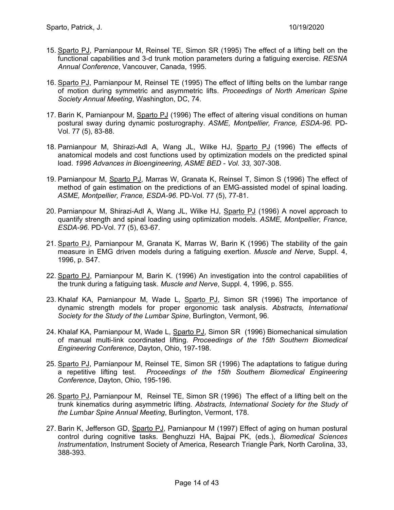- 15. Sparto PJ, Parnianpour M, Reinsel TE, Simon SR (1995) The effect of a lifting belt on the functional capabilities and 3-d trunk motion parameters during a fatiguing exercise. *RESNA Annual Conference*, Vancouver, Canada, 1995.
- 16. Sparto PJ, Parnianpour M, Reinsel TE (1995) The effect of lifting belts on the lumbar range of motion during symmetric and asymmetric lifts. *Proceedings of North American Spine Society Annual Meeting*, Washington, DC, 74.
- 17. Barin K, Parnianpour M, Sparto PJ (1996) The effect of altering visual conditions on human postural sway during dynamic posturography. *ASME, Montpellier, France, ESDA-96*. PD-Vol. 77 (5), 83-88.
- 18. Parnianpour M, Shirazi-Adl A, Wang JL, Wilke HJ, Sparto PJ (1996) The effects of anatomical models and cost functions used by optimization models on the predicted spinal load. *1996 Advances in Bioengineering, ASME BED - Vol. 33,* 307-308.
- 19. Parnianpour M, Sparto PJ, Marras W, Granata K, Reinsel T, Simon S (1996) The effect of method of gain estimation on the predictions of an EMG-assisted model of spinal loading. *ASME, Montpellier, France, ESDA-96*. PD-Vol. 77 (5), 77-81.
- 20. Parnianpour M, Shirazi-Adl A, Wang JL, Wilke HJ, Sparto PJ (1996) A novel approach to quantify strength and spinal loading using optimization models. *ASME, Montpellier, France, ESDA-96*. PD-Vol. 77 (5), 63-67.
- 21. Sparto PJ, Parnianpour M, Granata K, Marras W, Barin K (1996) The stability of the gain measure in EMG driven models during a fatiguing exertion. *Muscle and Nerve*, Suppl. 4, 1996, p. S47.
- 22. Sparto PJ, Parnianpour M, Barin K. (1996) An investigation into the control capabilities of the trunk during a fatiguing task. *Muscle and Nerve*, Suppl. 4, 1996, p. S55.
- 23. Khalaf KA, Parnianpour M, Wade L, Sparto PJ, Simon SR (1996) The importance of dynamic strength models for proper ergonomic task analysis. *Abstracts, International Society for the Study of the Lumbar Spine*, Burlington, Vermont, 96.
- 24. Khalaf KA, Parnianpour M, Wade L, Sparto PJ, Simon SR (1996) Biomechanical simulation of manual multi-link coordinated lifting. *Proceedings of the 15th Southern Biomedical Engineering Conference*, Dayton, Ohio, 197-198.
- 25. Sparto PJ, Parnianpour M, Reinsel TE, Simon SR (1996) The adaptations to fatigue during a repetitive lifting test. *Proceedings of the 15th Southern Biomedical Engineering Conference*, Dayton, Ohio, 195-196.
- 26. Sparto PJ, Parnianpour M, Reinsel TE, Simon SR (1996) The effect of a lifting belt on the trunk kinematics during asymmetric lifting. *Abstracts, International Society for the Study of the Lumbar Spine Annual Meeting*, Burlington, Vermont, 178.
- 27. Barin K, Jefferson GD, Sparto PJ, Parnianpour M (1997) Effect of aging on human postural control during cognitive tasks. Benghuzzi HA, Bajpai PK, (eds.), *Biomedical Sciences Instrumentation*, Instrument Society of America, Research Triangle Park, North Carolina, 33, 388-393.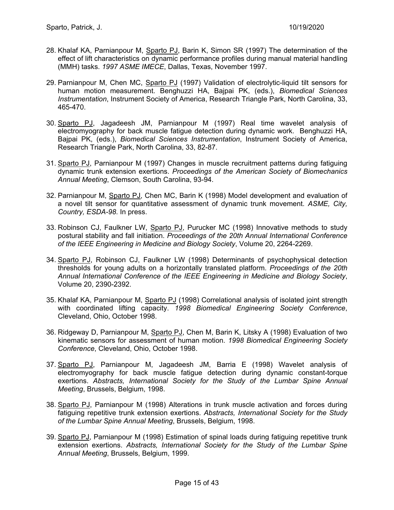- 28. Khalaf KA, Parnianpour M, Sparto PJ, Barin K, Simon SR (1997) The determination of the effect of lift characteristics on dynamic performance profiles during manual material handling (MMH) tasks. *1997 ASME IMECE*, Dallas, Texas, November 1997.
- 29. Parnianpour M, Chen MC, Sparto PJ (1997) Validation of electrolytic-liquid tilt sensors for human motion measurement. Benghuzzi HA, Bajpai PK, (eds.), *Biomedical Sciences Instrumentation*, Instrument Society of America, Research Triangle Park, North Carolina, 33, 465-470.
- 30. Sparto PJ, Jagadeesh JM, Parnianpour M (1997) Real time wavelet analysis of electromyography for back muscle fatigue detection during dynamic work. Benghuzzi HA, Bajpai PK, (eds.), *Biomedical Sciences Instrumentation*, Instrument Society of America, Research Triangle Park, North Carolina, 33, 82-87.
- 31. Sparto PJ, Parnianpour M (1997) Changes in muscle recruitment patterns during fatiguing dynamic trunk extension exertions. *Proceedings of the American Society of Biomechanics Annual Meeting*, Clemson, South Carolina, 93-94.
- 32. Parnianpour M, Sparto PJ, Chen MC, Barin K (1998) Model development and evaluation of a novel tilt sensor for quantitative assessment of dynamic trunk movement. *ASME, City, Country, ESDA-98*. In press.
- 33. Robinson CJ, Faulkner LW, Sparto PJ, Purucker MC (1998) Innovative methods to study postural stability and fall initiation. *Proceedings of the 20th Annual International Conference of the IEEE Engineering in Medicine and Biology Society*, Volume 20, 2264-2269.
- 34. Sparto PJ, Robinson CJ, Faulkner LW (1998) Determinants of psychophysical detection thresholds for young adults on a horizontally translated platform. *Proceedings of the 20th Annual International Conference of the IEEE Engineering in Medicine and Biology Society*, Volume 20, 2390-2392.
- 35. Khalaf KA, Parnianpour M, Sparto PJ (1998) Correlational analysis of isolated joint strength with coordinated lifting capacity. *1998 Biomedical Engineering Society Conference*, Cleveland, Ohio, October 1998.
- 36. Ridgeway D, Parnianpour M, Sparto PJ, Chen M, Barin K, Litsky A (1998) Evaluation of two kinematic sensors for assessment of human motion. *1998 Biomedical Engineering Society Conference*, Cleveland, Ohio, October 1998.
- 37. Sparto PJ, Parnianpour M, Jagadeesh JM, Barria E (1998) Wavelet analysis of electromyography for back muscle fatigue detection during dynamic constant-torque exertions. *Abstracts, International Society for the Study of the Lumbar Spine Annual Meeting*, Brussels, Belgium, 1998.
- 38. Sparto PJ, Parnianpour M (1998) Alterations in trunk muscle activation and forces during fatiguing repetitive trunk extension exertions. *Abstracts, International Society for the Study of the Lumbar Spine Annual Meeting*, Brussels, Belgium, 1998.
- 39. Sparto PJ, Parnianpour M (1998) Estimation of spinal loads during fatiguing repetitive trunk extension exertions. *Abstracts, International Society for the Study of the Lumbar Spine Annual Meeting*, Brussels, Belgium, 1999.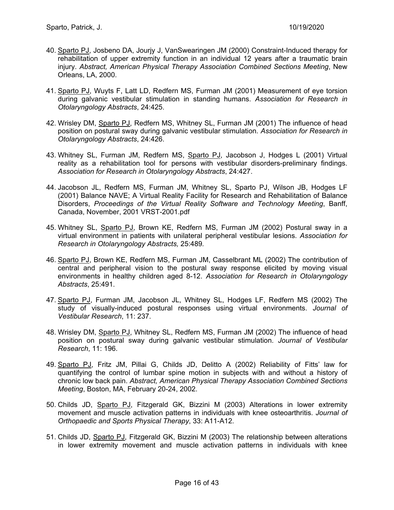- 40. Sparto PJ, Josbeno DA, Jourjy J, VanSwearingen JM (2000) Constraint-Induced therapy for rehabilitation of upper extremity function in an individual 12 years after a traumatic brain injury. *Abstract, American Physical Therapy Association Combined Sections Meeting*, New Orleans, LA, 2000.
- 41. Sparto PJ, Wuyts F, Latt LD, Redfern MS, Furman JM (2001) Measurement of eye torsion during galvanic vestibular stimulation in standing humans. *Association for Research in Otolaryngology Abstracts*, 24:425.
- 42. Wrisley DM, Sparto PJ, Redfern MS, Whitney SL, Furman JM (2001) The influence of head position on postural sway during galvanic vestibular stimulation. *Association for Research in Otolaryngology Abstracts*, 24:426.
- 43. Whitney SL, Furman JM, Redfern MS, Sparto PJ, Jacobson J, Hodges L (2001) Virtual reality as a rehabilitation tool for persons with vestibular disorders-preliminary findings. *Association for Research in Otolaryngology Abstracts*, 24:427.
- 44. Jacobson JL, Redfern MS, Furman JM, Whitney SL, Sparto PJ, Wilson JB, Hodges LF (2001) Balance NAVE; A Virtual Reality Facility for Research and Rehabilitation of Balance Disorders, *Proceedings of the Virtual Reality Software and Technology Meeting*, Banff, Canada, November, 2001 VRST-2001.pdf
- 45. Whitney SL, Sparto PJ, Brown KE, Redfern MS, Furman JM (2002) Postural sway in a virtual environment in patients with unilateral peripheral vestibular lesions. *Association for Research in Otolaryngology Abstracts,* 25:489*.*
- 46. Sparto PJ, Brown KE, Redfern MS, Furman JM, Casselbrant ML (2002) The contribution of central and peripheral vision to the postural sway response elicited by moving visual environments in healthy children aged 8-12. *Association for Research in Otolaryngology Abstracts*, 25:491.
- 47. Sparto PJ, Furman JM, Jacobson JL, Whitney SL, Hodges LF, Redfern MS (2002) The study of visually-induced postural responses using virtual environments. *Journal of Vestibular Research*, 11: 237.
- 48. Wrisley DM, Sparto PJ, Whitney SL, Redfern MS, Furman JM (2002) The influence of head position on postural sway during galvanic vestibular stimulation. *Journal of Vestibular Research*, 11: 196.
- 49. Sparto PJ, Fritz JM, Pillai G, Childs JD, Delitto A (2002) Reliability of Fitts' law for quantifying the control of lumbar spine motion in subjects with and without a history of chronic low back pain. *Abstract, American Physical Therapy Association Combined Sections Meeting*, Boston, MA, February 20-24, 2002.
- 50. Childs JD, Sparto PJ, Fitzgerald GK, Bizzini M (2003) Alterations in lower extremity movement and muscle activation patterns in individuals with knee osteoarthritis. *Journal of Orthopaedic and Sports Physical Therapy*, 33: A11-A12.
- 51. Childs JD, Sparto PJ, Fitzgerald GK, Bizzini M (2003) The relationship between alterations in lower extremity movement and muscle activation patterns in individuals with knee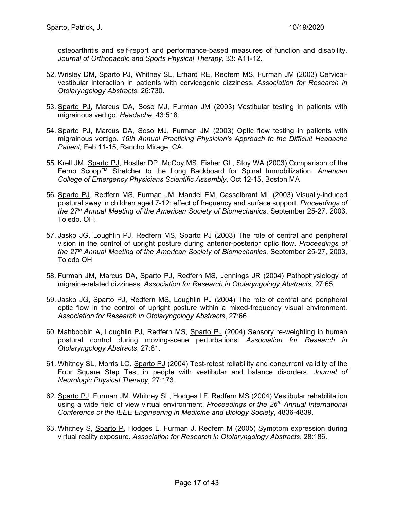osteoarthritis and self-report and performance-based measures of function and disability. *Journal of Orthopaedic and Sports Physical Therapy*, 33: A11-12.

- 52. Wrisley DM, Sparto PJ, Whitney SL, Erhard RE, Redfern MS, Furman JM (2003) Cervicalvestibular interaction in patients with cervicogenic dizziness. *Association for Research in Otolaryngology Abstracts*, 26:730.
- 53. Sparto PJ, Marcus DA, Soso MJ, Furman JM (2003) Vestibular testing in patients with migrainous vertigo. *Headache,* 43:518.
- 54. Sparto PJ, Marcus DA, Soso MJ, Furman JM (2003) Optic flow testing in patients with migrainous vertigo. *16th Annual Practicing Physician's Approach to the Difficult Headache Patient,* Feb 11-15, Rancho Mirage, CA.
- 55. Krell JM, Sparto PJ, Hostler DP, McCoy MS, Fisher GL, Stoy WA (2003) Comparison of the Ferno Scoop™ Stretcher to the Long Backboard for Spinal Immobilization. *American College of Emergency Physicians Scientific Assembly*, Oct 12-15, Boston MA
- 56. Sparto PJ, Redfern MS, Furman JM, Mandel EM, Casselbrant ML (2003) Visually-induced postural sway in children aged 7-12: effect of frequency and surface support. *Proceedings of the 27th Annual Meeting of the American Society of Biomechanics*, September 25-27, 2003, Toledo, OH.
- 57. Jasko JG, Loughlin PJ, Redfern MS, Sparto PJ (2003) The role of central and peripheral vision in the control of upright posture during anterior-posterior optic flow. *Proceedings of the 27th Annual Meeting of the American Society of Biomechanics*, September 25-27, 2003, Toledo OH
- 58. Furman JM, Marcus DA, Sparto PJ, Redfern MS, Jennings JR (2004) Pathophysiology of migraine-related dizziness. *Association for Research in Otolaryngology Abstracts*, 27:65.
- 59. Jasko JG, Sparto PJ, Redfern MS, Loughlin PJ (2004) The role of central and peripheral optic flow in the control of upright posture within a mixed-frequency visual environment. *Association for Research in Otolaryngology Abstracts*, 27:66.
- 60. Mahboobin A, Loughlin PJ, Redfern MS, Sparto PJ (2004) Sensory re-weighting in human postural control during moving-scene perturbations. *Association for Research in Otolaryngology Abstracts*, 27:81.
- 61. Whitney SL, Morris LO, Sparto PJ (2004) Test-retest reliability and concurrent validity of the Four Square Step Test in people with vestibular and balance disorders. *Journal of Neurologic Physical Therapy*, 27:173.
- 62. Sparto PJ, Furman JM, Whitney SL, Hodges LF, Redfern MS (2004) Vestibular rehabilitation using a wide field of view virtual environment. *Proceedings of the 26th Annual International Conference of the IEEE Engineering in Medicine and Biology Society*, 4836-4839.
- 63. Whitney S, Sparto P, Hodges L, Furman J, Redfern M (2005) Symptom expression during virtual reality exposure. *Association for Research in Otolaryngology Abstracts*, 28:186.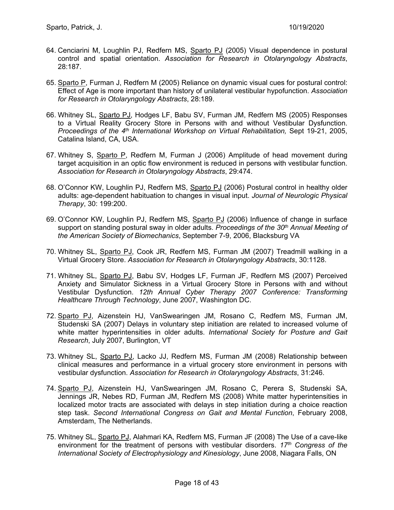- 64. Cenciarini M, Loughlin PJ, Redfern MS, Sparto PJ (2005) Visual dependence in postural control and spatial orientation. *Association for Research in Otolaryngology Abstracts*, 28:187.
- 65. Sparto P, Furman J, Redfern M (2005) Reliance on dynamic visual cues for postural control: Effect of Age is more important than history of unilateral vestibular hypofunction. *Association for Research in Otolaryngology Abstracts*, 28:189.
- 66. Whitney SL, Sparto PJ, Hodges LF, Babu SV, Furman JM, Redfern MS (2005) Responses to a Virtual Reality Grocery Store in Persons with and without Vestibular Dysfunction. *Proceedings of the 4th International Workshop on Virtual Rehabilitation,* Sept 19-21, 2005, Catalina Island, CA, USA.
- 67. Whitney S, Sparto P, Redfern M, Furman J (2006) Amplitude of head movement during target acquisition in an optic flow environment is reduced in persons with vestibular function. *Association for Research in Otolaryngology Abstracts*, 29:474.
- 68. O'Connor KW, Loughlin PJ, Redfern MS, Sparto PJ (2006) Postural control in healthy older adults: age-dependent habituation to changes in visual input. *Journal of Neurologic Physical Therapy*, 30: 199:200.
- 69. O'Connor KW, Loughlin PJ, Redfern MS, Sparto PJ (2006) Influence of change in surface support on standing postural sway in older adults. *Proceedings of the 30th Annual Meeting of the American Society of Biomechanics*, September 7-9, 2006, Blacksburg VA
- 70. Whitney SL, Sparto PJ, Cook JR, Redfern MS, Furman JM (2007) Treadmill walking in a Virtual Grocery Store. *Association for Research in Otolaryngology Abstracts*, 30:1128.
- 71. Whitney SL, Sparto PJ, Babu SV, Hodges LF, Furman JF, Redfern MS (2007) Perceived Anxiety and Simulator Sickness in a Virtual Grocery Store in Persons with and without Vestibular Dysfunction. *12th Annual Cyber Therapy 2007 Conference: Transforming Healthcare Through Technology*, June 2007, Washington DC.
- 72. Sparto PJ, Aizenstein HJ, VanSwearingen JM, Rosano C, Redfern MS, Furman JM, Studenski SA (2007) Delays in voluntary step initiation are related to increased volume of white matter hyperintensities in older adults. *International Society for Posture and Gait Research*, July 2007, Burlington, VT
- 73. Whitney SL, Sparto PJ, Lacko JJ, Redfern MS, Furman JM (2008) Relationship between clinical measures and performance in a virtual grocery store environment in persons with vestibular dysfunction. *Association for Research in Otolaryngology Abstracts*, 31:246.
- 74. Sparto PJ, Aizenstein HJ, VanSwearingen JM, Rosano C, Perera S, Studenski SA, Jennings JR, Nebes RD, Furman JM, Redfern MS (2008) White matter hyperintensities in localized motor tracts are associated with delays in step initiation during a choice reaction step task. *Second International Congress on Gait and Mental Function*, February 2008, Amsterdam, The Netherlands.
- 75. Whitney SL, Sparto PJ, Alahmari KA, Redfern MS, Furman JF (2008) The Use of a cave-like environment for the treatment of persons with vestibular disorders. *17th Congress of the International Society of Electrophysiology and Kinesiology*, June 2008, Niagara Falls, ON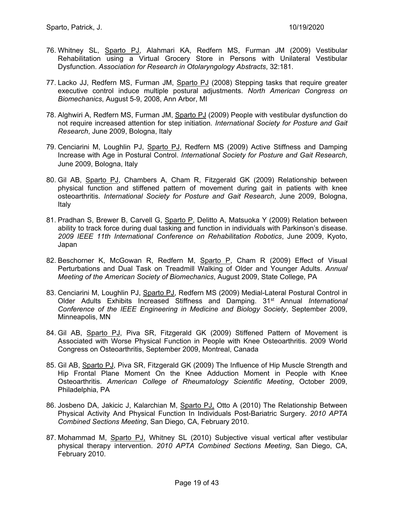- 76. Whitney SL, Sparto PJ, Alahmari KA, Redfern MS, Furman JM (2009) Vestibular Rehabilitation using a Virtual Grocery Store in Persons with Unilateral Vestibular Dysfunction. *Association for Research in Otolaryngology Abstracts*, 32:181.
- 77. Lacko JJ, Redfern MS, Furman JM, Sparto PJ (2008) Stepping tasks that require greater executive control induce multiple postural adjustments. *North American Congress on Biomechanics*, August 5-9, 2008, Ann Arbor, MI
- 78. Alghwiri A, Redfern MS, Furman JM, Sparto PJ (2009) People with vestibular dysfunction do not require increased attention for step initiation. *International Society for Posture and Gait Research*, June 2009, Bologna, Italy
- 79. Cenciarini M, Loughlin PJ, Sparto PJ, Redfern MS (2009) Active Stiffness and Damping Increase with Age in Postural Control. *International Society for Posture and Gait Research*, June 2009, Bologna, Italy
- 80. Gil AB, Sparto PJ, Chambers A, Cham R, Fitzgerald GK (2009) Relationship between physical function and stiffened pattern of movement during gait in patients with knee osteoarthritis. *International Society for Posture and Gait Research*, June 2009, Bologna, Italy
- 81. Pradhan S, Brewer B, Carvell G, Sparto P, Delitto A, Matsuoka Y (2009) Relation between ability to track force during dual tasking and function in individuals with Parkinson's disease. *2009 IEEE 11th International Conference on Rehabilitation Robotics*, June 2009, Kyoto, Japan
- 82. Beschorner K, McGowan R, Redfern M, Sparto P, Cham R (2009) Effect of Visual Perturbations and Dual Task on Treadmill Walking of Older and Younger Adults. *Annual Meeting of the American Society of Biomechanics*, August 2009, State College, PA
- 83. Cenciarini M, Loughlin PJ, Sparto PJ, Redfern MS (2009) Medial-Lateral Postural Control in Older Adults Exhibits Increased Stiffness and Damping. 31st Annual *International Conference of the IEEE Engineering in Medicine and Biology Society*, September 2009, Minneapolis, MN
- 84. Gil AB, Sparto PJ, Piva SR, Fitzgerald GK (2009) Stiffened Pattern of Movement is Associated with Worse Physical Function in People with Knee Osteoarthritis. 2009 World Congress on Osteoarthritis, September 2009, Montreal, Canada
- 85. Gil AB, Sparto PJ, Piva SR, Fitzgerald GK (2009) The Influence of Hip Muscle Strength and Hip Frontal Plane Moment On the Knee Adduction Moment in People with Knee Osteoarthritis. *American College of Rheumatology Scientific Meeting*, October 2009, Philadelphia, PA
- 86. Josbeno DA, Jakicic J, Kalarchian M, Sparto PJ, Otto A (2010) The Relationship Between Physical Activity And Physical Function In Individuals Post-Bariatric Surgery. *2010 APTA Combined Sections Meeting*, San Diego, CA, February 2010.
- 87. Mohammad M, Sparto PJ, Whitney SL (2010) Subjective visual vertical after vestibular physical therapy intervention. *2010 APTA Combined Sections Meeting*, San Diego, CA, February 2010.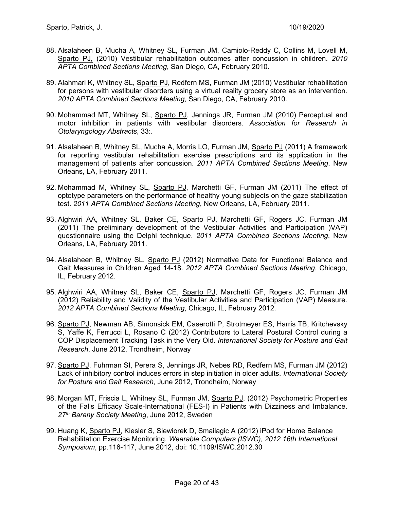- 88. Alsalaheen B, Mucha A, Whitney SL, Furman JM, Camiolo-Reddy C, Collins M, Lovell M, Sparto PJ, (2010) Vestibular rehabilitation outcomes after concussion in children. *2010 APTA Combined Sections Meeting*, San Diego, CA, February 2010.
- 89. Alahmari K, Whitney SL, Sparto PJ, Redfern MS, Furman JM (2010) Vestibular rehabilitation for persons with vestibular disorders using a virtual reality grocery store as an intervention. *2010 APTA Combined Sections Meeting*, San Diego, CA, February 2010.
- 90. Mohammad MT, Whitney SL, Sparto PJ, Jennings JR, Furman JM (2010) Perceptual and motor inhibition in patients with vestibular disorders. *Association for Research in Otolaryngology Abstracts*, 33:.
- 91. Alsalaheen B, Whitney SL, Mucha A, Morris LO, Furman JM, Sparto PJ (2011) A framework for reporting vestibular rehabilitation exercise prescriptions and its application in the management of patients after concussion. *2011 APTA Combined Sections Meeting*, New Orleans, LA, February 2011.
- 92. Mohammad M, Whitney SL, Sparto PJ, Marchetti GF, Furman JM (2011) The effect of optotype parameters on the performance of healthy young subjects on the gaze stabilization test. *2011 APTA Combined Sections Meeting*, New Orleans, LA, February 2011.
- 93. Alghwiri AA, Whitney SL, Baker CE, Sparto PJ, Marchetti GF, Rogers JC, Furman JM (2011) The preliminary development of the Vestibular Activities and Participation )VAP) questionnaire using the Delphi technique. *2011 APTA Combined Sections Meeting*, New Orleans, LA, February 2011.
- 94. Alsalaheen B, Whitney SL, Sparto PJ (2012) Normative Data for Functional Balance and Gait Measures in Children Aged 14-18. *2012 APTA Combined Sections Meeting*, Chicago, IL, February 2012.
- 95. Alghwiri AA, Whitney SL, Baker CE, Sparto PJ, Marchetti GF, Rogers JC, Furman JM (2012) Reliability and Validity of the Vestibular Activities and Participation (VAP) Measure. *2012 APTA Combined Sections Meeting*, Chicago, IL, February 2012.
- 96. Sparto PJ, Newman AB, Simonsick EM, Caserotti P, Strotmeyer ES, Harris TB, Kritchevsky S, Yaffe K, Ferrucci L, Rosano C (2012) Contributors to Lateral Postural Control during a COP Displacement Tracking Task in the Very Old. *International Society for Posture and Gait Research*, June 2012, Trondheim, Norway
- 97. Sparto PJ, Fuhrman SI, Perera S, Jennings JR, Nebes RD, Redfern MS, Furman JM (2012) Lack of inhibitory control induces errors in step initiation in older adults. *International Society for Posture and Gait Research*, June 2012, Trondheim, Norway
- 98. Morgan MT, Friscia L, Whitney SL, Furman JM, Sparto PJ, (2012) Psychometric Properties of the Falls Efficacy Scale-International (FES-I) in Patients with Dizziness and Imbalance. *27th Barany Society Meeting*, June 2012, Sweden
- 99. Huang K, Sparto PJ, Kiesler S, Siewiorek D, Smailagic A (2012) iPod for Home Balance Rehabilitation Exercise Monitoring, *Wearable Computers (ISWC), 2012 16th International Symposium*, pp.116-117, June 2012, doi: 10.1109/ISWC.2012.30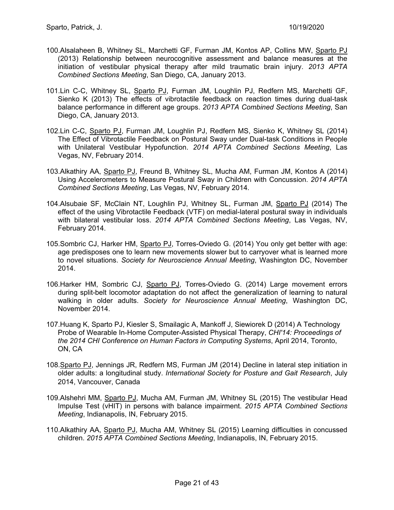- 100.Alsalaheen B, Whitney SL, Marchetti GF, Furman JM, Kontos AP, Collins MW, Sparto PJ (2013) Relationship between neurocognitive assessment and balance measures at the initiation of vestibular physical therapy after mild traumatic brain injury. *2013 APTA Combined Sections Meeting*, San Diego, CA, January 2013.
- 101.Lin C-C, Whitney SL, Sparto PJ, Furman JM, Loughlin PJ, Redfern MS, Marchetti GF, Sienko K (2013) The effects of vibrotactile feedback on reaction times during dual-task balance performance in different age groups. *2013 APTA Combined Sections Meeting*, San Diego, CA, January 2013.
- 102.Lin C-C, Sparto PJ, Furman JM, Loughlin PJ, Redfern MS, Sienko K, Whitney SL (2014) The Effect of Vibrotactile Feedback on Postural Sway under Dual-task Conditions in People with Unilateral Vestibular Hypofunction. *2014 APTA Combined Sections Meeting*, Las Vegas, NV, February 2014.
- 103.Alkathiry AA, Sparto PJ, Freund B, Whitney SL, Mucha AM, Furman JM, Kontos A (2014) Using Accelerometers to Measure Postural Sway in Children with Concussion. *2014 APTA Combined Sections Meeting*, Las Vegas, NV, February 2014.
- 104.Alsubaie SF, McClain NT, Loughlin PJ, Whitney SL, Furman JM, Sparto PJ (2014) The effect of the using Vibrotactile Feedback (VTF) on medial-lateral postural sway in individuals with bilateral vestibular loss. *2014 APTA Combined Sections Meeting*, Las Vegas, NV, February 2014.
- 105.Sombric CJ, Harker HM, Sparto PJ, Torres-Oviedo G. (2014) You only get better with age: age predisposes one to learn new movements slower but to carryover what is learned more to novel situations. *Society for Neuroscience Annual Meeting*, Washington DC, November 2014.
- 106.Harker HM, Sombric CJ, Sparto PJ, Torres-Oviedo G. (2014) Large movement errors during split-belt locomotor adaptation do not affect the generalization of learning to natural walking in older adults. *Society for Neuroscience Annual Meeting*, Washington DC, November 2014.
- 107.Huang K, Sparto PJ, Kiesler S, Smailagic A, Mankoff J, Siewiorek D (2014) A Technology Probe of Wearable In-Home Computer-Assisted Physical Therapy, *CHI'14: Proceedings of the 2014 CHI Conference on Human Factors in Computing Systems*, April 2014, Toronto, ON, CA
- 108.Sparto PJ, Jennings JR, Redfern MS, Furman JM (2014) Decline in lateral step initiation in older adults: a longitudinal study. *International Society for Posture and Gait Research*, July 2014, Vancouver, Canada
- 109.Alshehri MM, Sparto PJ, Mucha AM, Furman JM, Whitney SL (2015) The vestibular Head Impulse Test (vHIT) in persons with balance impairment. *2015 APTA Combined Sections Meeting*, Indianapolis, IN, February 2015.
- 110.Alkathiry AA, Sparto PJ, Mucha AM, Whitney SL (2015) Learning difficulties in concussed children. *2015 APTA Combined Sections Meeting*, Indianapolis, IN, February 2015.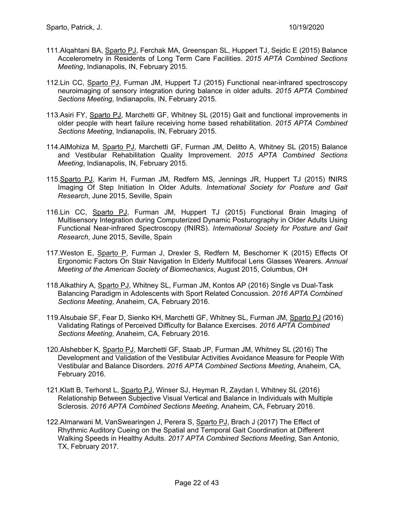- 111. Alqahtani BA, Sparto PJ, Ferchak MA, Greenspan SL, Huppert TJ, Sejdic E (2015) Balance Accelerometry in Residents of Long Term Care Facilities. *2015 APTA Combined Sections Meeting*, Indianapolis, IN, February 2015.
- 112.Lin CC, Sparto PJ, Furman JM, Huppert TJ (2015) Functional near-infrared spectroscopy neuroimaging of sensory integration during balance in older adults. *2015 APTA Combined Sections Meeting*, Indianapolis, IN, February 2015.
- 113.Asiri FY, Sparto PJ, Marchetti GF, Whitney SL (2015) Gait and functional improvements in older people with heart failure receiving home based rehabilitation. *2015 APTA Combined Sections Meeting*, Indianapolis, IN, February 2015.
- 114.AlMohiza M, Sparto PJ, Marchetti GF, Furman JM, Delitto A, Whitney SL (2015) Balance and Vestibular Rehabilitation Quality Improvement. *2015 APTA Combined Sections Meeting*, Indianapolis, IN, February 2015.
- 115.Sparto PJ, Karim H, Furman JM, Redfern MS, Jennings JR, Huppert TJ (2015) fNIRS Imaging Of Step Initiation In Older Adults. *International Society for Posture and Gait Research*, June 2015, Seville, Spain
- 116.Lin CC, Sparto PJ, Furman JM, Huppert TJ (2015) Functional Brain Imaging of Multisensory Integration during Computerized Dynamic Posturography in Older Adults Using Functional Near-infrared Spectroscopy (fNIRS). *International Society for Posture and Gait Research*, June 2015, Seville, Spain
- 117.Weston E, Sparto P, Furman J, Drexler S, Redfern M, Beschorner K (2015) Effects Of Ergonomic Factors On Stair Navigation In Elderly Multifocal Lens Glasses Wearers. *Annual Meeting of the American Society of Biomechanics*, August 2015, Columbus, OH
- 118.Alkathiry A, Sparto PJ, Whitney SL, Furman JM, Kontos AP (2016) Single vs Dual-Task Balancing Paradigm in Adolescents with Sport Related Concussion. *2016 APTA Combined Sections Meeting*, Anaheim, CA, February 2016.
- 119.Alsubaie SF, Fear D, Sienko KH, Marchetti GF, Whitney SL, Furman JM, Sparto PJ (2016) Validating Ratings of Perceived Difficulty for Balance Exercises. *2016 APTA Combined Sections Meeting*, Anaheim, CA, February 2016.
- 120.Alshebber K, Sparto PJ, Marchetti GF, Staab JP, Furman JM, Whitney SL (2016) The Development and Validation of the Vestibular Activities Avoidance Measure for People With Vestibular and Balance Disorders. *2016 APTA Combined Sections Meeting*, Anaheim, CA, February 2016.
- 121.Klatt B, Terhorst L, Sparto PJ, Winser SJ, Heyman R, Zaydan I, Whitney SL (2016) Relationship Between Subjective Visual Vertical and Balance in Individuals with Multiple Sclerosis. *2016 APTA Combined Sections Meeting*, Anaheim, CA, February 2016.
- 122.Almarwani M, VanSwearingen J, Perera S, Sparto PJ, Brach J (2017) The Effect of Rhythmic Auditory Cueing on the Spatial and Temporal Gait Coordination at Different Walking Speeds in Healthy Adults. *2017 APTA Combined Sections Meeting*, San Antonio, TX, February 2017.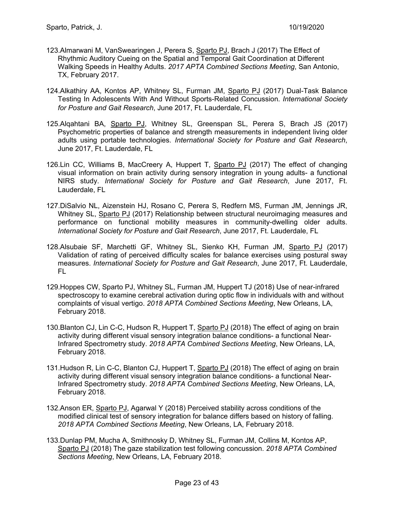- 123.Almarwani M, VanSwearingen J, Perera S, Sparto PJ, Brach J (2017) The Effect of Rhythmic Auditory Cueing on the Spatial and Temporal Gait Coordination at Different Walking Speeds in Healthy Adults. *2017 APTA Combined Sections Meeting*, San Antonio, TX, February 2017.
- 124. Alkathiry AA, Kontos AP, Whitney SL, Furman JM, Sparto PJ (2017) Dual-Task Balance Testing In Adolescents With And Without Sports-Related Concussion. *International Society for Posture and Gait Research*, June 2017, Ft. Lauderdale, FL
- 125.Alqahtani BA, Sparto PJ, Whitney SL, Greenspan SL, Perera S, Brach JS (2017) Psychometric properties of balance and strength measurements in independent living older adults using portable technologies. *International Society for Posture and Gait Research*, June 2017, Ft. Lauderdale, FL
- 126.Lin CC, Williams B, MacCreery A, Huppert T, Sparto PJ (2017) The effect of changing visual information on brain activity during sensory integration in young adults- a functional NIRS study. *International Society for Posture and Gait Research*, June 2017, Ft. Lauderdale, FL
- 127.DiSalvio NL, Aizenstein HJ, Rosano C, Perera S, Redfern MS, Furman JM, Jennings JR, Whitney SL, Sparto PJ (2017) Relationship between structural neuroimaging measures and performance on functional mobility measures in community-dwelling older adults. *International Society for Posture and Gait Research*, June 2017, Ft. Lauderdale, FL
- 128.Alsubaie SF, Marchetti GF, Whitney SL, Sienko KH, Furman JM, Sparto PJ (2017) Validation of rating of perceived difficulty scales for balance exercises using postural sway measures. *International Society for Posture and Gait Research*, June 2017, Ft. Lauderdale, FL
- 129.Hoppes CW, Sparto PJ, Whitney SL, Furman JM, Huppert TJ (2018) Use of near-infrared spectroscopy to examine cerebral activation during optic flow in individuals with and without complaints of visual vertigo. *2018 APTA Combined Sections Meeting*, New Orleans, LA, February 2018.
- 130.Blanton CJ, Lin C-C, Hudson R, Huppert T, Sparto PJ (2018) The effect of aging on brain activity during different visual sensory integration balance conditions- a functional Near-Infrared Spectrometry study. *2018 APTA Combined Sections Meeting*, New Orleans, LA, February 2018.
- 131. Hudson R, Lin C-C, Blanton CJ, Huppert T, Sparto PJ (2018) The effect of aging on brain activity during different visual sensory integration balance conditions- a functional Near-Infrared Spectrometry study. *2018 APTA Combined Sections Meeting*, New Orleans, LA, February 2018.
- 132.Anson ER, Sparto PJ, Agarwal Y (2018) Perceived stability across conditions of the modified clinical test of sensory integration for balance differs based on history of falling. *2018 APTA Combined Sections Meeting*, New Orleans, LA, February 2018.
- 133.Dunlap PM, Mucha A, Smithnosky D, Whitney SL, Furman JM, Collins M, Kontos AP, Sparto PJ (2018) The gaze stabilization test following concussion. *2018 APTA Combined Sections Meeting*, New Orleans, LA, February 2018.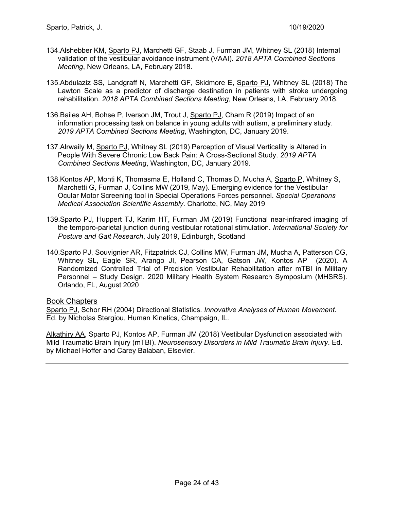- 134.Alshebber KM, Sparto PJ, Marchetti GF, Staab J, Furman JM, Whitney SL (2018) Internal validation of the vestibular avoidance instrument (VAAI). *2018 APTA Combined Sections Meeting*, New Orleans, LA, February 2018.
- 135.Abdulaziz SS, Landgraff N, Marchetti GF, Skidmore E, Sparto PJ, Whitney SL (2018) The Lawton Scale as a predictor of discharge destination in patients with stroke undergoing rehabilitation. *2018 APTA Combined Sections Meeting*, New Orleans, LA, February 2018.
- 136.Bailes AH, Bohse P, Iverson JM, Trout J, Sparto PJ, Cham R (2019) Impact of an information processing task on balance in young adults with autism, a preliminary study. *2019 APTA Combined Sections Meeting*, Washington, DC, January 2019.
- 137.Alrwaily M, Sparto PJ, Whitney SL (2019) Perception of Visual Verticality is Altered in People With Severe Chronic Low Back Pain: A Cross-Sectional Study. *2019 APTA Combined Sections Meeting*, Washington, DC, January 2019.
- 138.Kontos AP, Monti K, Thomasma E, Holland C, Thomas D, Mucha A, Sparto P, Whitney S, Marchetti G, Furman J, Collins MW (2019, May). Emerging evidence for the Vestibular Ocular Motor Screening tool in Special Operations Forces personnel. *Special Operations Medical Association Scientific Assembly*. Charlotte, NC, May 2019
- 139.Sparto PJ, Huppert TJ, Karim HT, Furman JM (2019) Functional near-infrared imaging of the temporo-parietal junction during vestibular rotational stimulation. *International Society for Posture and Gait Research*, July 2019, Edinburgh, Scotland
- 140.Sparto PJ, Souvignier AR, Fitzpatrick CJ, Collins MW, Furman JM, Mucha A, Patterson CG, Whitney SL, Eagle SR, Arango JI, Pearson CA, Gatson JW, Kontos AP (2020). A Randomized Controlled Trial of Precision Vestibular Rehabilitation after mTBI in Military Personnel – Study Design. 2020 Military Health System Research Symposium (MHSRS). Orlando, FL, August 2020

Book Chapters

Sparto PJ, Schor RH (2004) Directional Statistics. *Innovative Analyses of Human Movement*. Ed. by Nicholas Stergiou, Human Kinetics, Champaign, IL.

Alkathiry AA, Sparto PJ, Kontos AP, Furman JM (2018) Vestibular Dysfunction associated with Mild Traumatic Brain Injury (mTBI). *Neurosensory Disorders in Mild Traumatic Brain Injury*. Ed. by Michael Hoffer and Carey Balaban, Elsevier.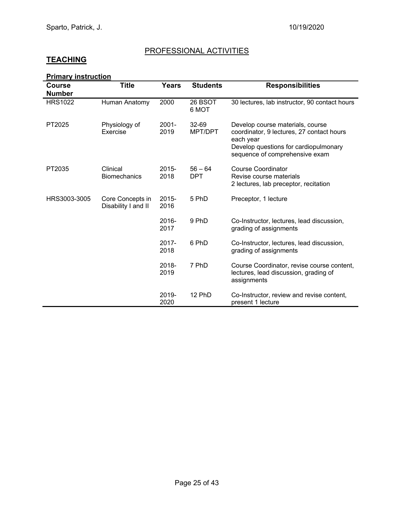## PROFESSIONAL ACTIVITIES

# **TEACHING**

| <b>Primary instruction</b> |
|----------------------------|
|----------------------------|

| <b>Course</b><br><b>Number</b> | <b>Title</b>                            | <b>Years</b>     | <b>Students</b>         | <b>Responsibilities</b>                                                                                                                                               |
|--------------------------------|-----------------------------------------|------------------|-------------------------|-----------------------------------------------------------------------------------------------------------------------------------------------------------------------|
| <b>HRS1022</b>                 | Human Anatomy                           | 2000             | 26 BSOT<br>6 MOT        | 30 lectures, lab instructor, 90 contact hours                                                                                                                         |
| PT2025                         | Physiology of<br>Exercise               | 2001-<br>2019    | $32 - 69$<br>MPT/DPT    | Develop course materials, course<br>coordinator, 9 lectures, 27 contact hours<br>each year<br>Develop questions for cardiopulmonary<br>sequence of comprehensive exam |
| PT2035                         | Clinical<br><b>Biomechanics</b>         | 2015-<br>2018    | $56 - 64$<br><b>DPT</b> | <b>Course Coordinator</b><br>Revise course materials<br>2 lectures, lab preceptor, recitation                                                                         |
| HRS3003-3005                   | Core Concepts in<br>Disability I and II | 2015-<br>2016    | 5 PhD                   | Preceptor, 1 lecture                                                                                                                                                  |
|                                |                                         | 2016-<br>2017    | 9 PhD                   | Co-Instructor, lectures, lead discussion,<br>grading of assignments                                                                                                   |
|                                |                                         | $2017 -$<br>2018 | 6 PhD                   | Co-Instructor, lectures, lead discussion,<br>grading of assignments                                                                                                   |
|                                |                                         | 2018-<br>2019    | 7 PhD                   | Course Coordinator, revise course content,<br>lectures, lead discussion, grading of<br>assignments                                                                    |
|                                |                                         | 2019-<br>2020    | 12 PhD                  | Co-Instructor, review and revise content,<br>present 1 lecture                                                                                                        |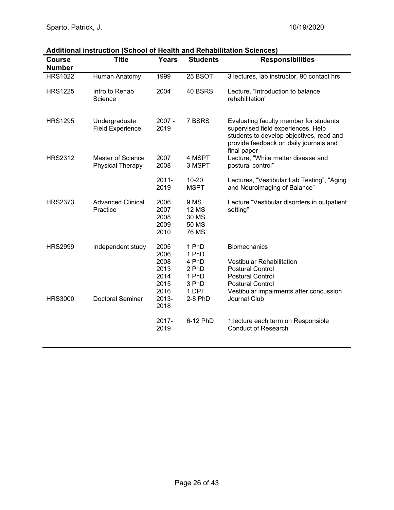| <b>Course</b><br><b>Number</b> | <u> Additional Instruction (School of Health and Renabilitation Sciences)</u><br><b>Title</b> | Years                                                | <b>Students</b>                                        | <b>Responsibilities</b>                                                                                                                                                           |
|--------------------------------|-----------------------------------------------------------------------------------------------|------------------------------------------------------|--------------------------------------------------------|-----------------------------------------------------------------------------------------------------------------------------------------------------------------------------------|
| <b>HRS1022</b>                 | Human Anatomy                                                                                 | 1999                                                 | 25 BSOT                                                | 3 lectures, lab instructor, 90 contact hrs                                                                                                                                        |
| <b>HRS1225</b>                 | Intro to Rehab<br>Science                                                                     | 2004                                                 | 40 BSRS                                                | Lecture, "Introduction to balance<br>rehabilitation"                                                                                                                              |
| <b>HRS1295</b>                 | Undergraduate<br><b>Field Experience</b>                                                      | $2007 -$<br>2019                                     | 7 BSRS                                                 | Evaluating faculty member for students<br>supervised field experiences. Help<br>students to develop objectives, read and<br>provide feedback on daily journals and<br>final paper |
| <b>HRS2312</b>                 | Master of Science<br><b>Physical Therapy</b>                                                  | 2007<br>2008                                         | 4 MSPT<br>3 MSPT                                       | Lecture, "White matter disease and<br>postural control"                                                                                                                           |
|                                |                                                                                               | $2011 -$<br>2019                                     | $10 - 20$<br><b>MSPT</b>                               | Lectures, "Vestibular Lab Testing", "Aging<br>and Neuroimaging of Balance"                                                                                                        |
| <b>HRS2373</b>                 | <b>Advanced Clinical</b><br>Practice                                                          | 2006<br>2007<br>2008<br>2009<br>2010                 | 9 MS<br><b>12 MS</b><br>30 MS<br>50 MS<br><b>76 MS</b> | Lecture "Vestibular disorders in outpatient<br>setting"                                                                                                                           |
| <b>HRS2999</b>                 | Independent study                                                                             | 2005<br>2006<br>2008<br>2013<br>2014<br>2015<br>2016 | 1 PhD<br>1 PhD<br>4 PhD<br>2 PhD<br>1 PhD<br>3 PhD     | <b>Biomechanics</b><br>Vestibular Rehabilitation<br><b>Postural Control</b><br><b>Postural Control</b><br><b>Postural Control</b>                                                 |
| <b>HRS3000</b>                 | <b>Doctoral Seminar</b>                                                                       | 2013-<br>2018                                        | 1 DPT<br>2-8 PhD                                       | Vestibular impairments after concussion<br><b>Journal Club</b>                                                                                                                    |
|                                |                                                                                               | 2017-<br>2019                                        | 6-12 PhD                                               | 1 lecture each term on Responsible<br><b>Conduct of Research</b>                                                                                                                  |

#### **Additional instruction (School of Health and Rehabilitation Sciences)**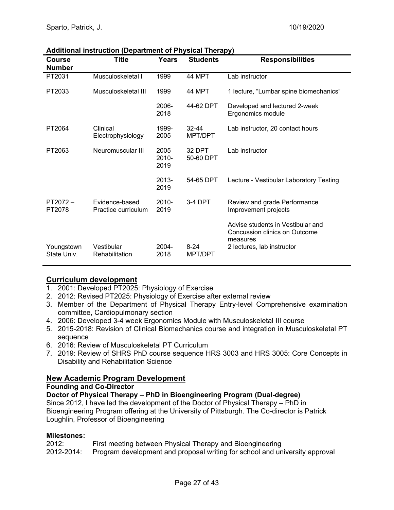| <b>Course</b><br><b>Number</b> | Title                                 | Years                 | <b>Students</b>      | <b>Responsibilities</b>                                                                                      |
|--------------------------------|---------------------------------------|-----------------------|----------------------|--------------------------------------------------------------------------------------------------------------|
| PT2031                         | Musculoskeletal I                     | 1999                  | 44 MPT               | Lab instructor                                                                                               |
| PT2033                         | Musculoskeletal III                   | 1999                  | 44 MPT               | 1 lecture, "Lumbar spine biomechanics"                                                                       |
|                                |                                       | 2006-<br>2018         | 44-62 DPT            | Developed and lectured 2-week<br>Ergonomics module                                                           |
| PT2064                         | Clinical<br>Electrophysiology         | 1999-<br>2005         | $32 - 44$<br>MPT/DPT | Lab instructor, 20 contact hours                                                                             |
| PT2063                         | Neuromuscular III                     | 2005<br>2010-<br>2019 | 32 DPT<br>50-60 DPT  | Lab instructor                                                                                               |
|                                |                                       | 2013-<br>2019         | 54-65 DPT            | Lecture - Vestibular Laboratory Testing                                                                      |
| $PT2072 -$<br>PT2078           | Evidence-based<br>Practice curriculum | $2010 -$<br>2019      | 3-4 DPT              | Review and grade Performance<br>Improvement projects                                                         |
| Youngstown<br>State Univ.      | Vestibular<br>Rehabilitation          | 2004-<br>2018         | $8 - 24$<br>MPT/DPT  | Advise students in Vestibular and<br>Concussion clinics on Outcome<br>measures<br>2 lectures, lab instructor |

#### **Additional instruction (Department of Physical Therapy)**

#### **Curriculum development**

- 1. 2001: Developed PT2025: Physiology of Exercise
- 2. 2012: Revised PT2025: Physiology of Exercise after external review
- 3. Member of the Department of Physical Therapy Entry-level Comprehensive examination committee, Cardiopulmonary section
- 4. 2006: Developed 3-4 week Ergonomics Module with Musculoskeletal III course
- 5. 2015-2018: Revision of Clinical Biomechanics course and integration in Musculoskeletal PT sequence
- 6. 2016: Review of Musculoskeletal PT Curriculum
- 7. 2019: Review of SHRS PhD course sequence HRS 3003 and HRS 3005: Core Concepts in Disability and Rehabilitation Science

#### **New Academic Program Development**

#### **Founding and Co-Director**

**Doctor of Physical Therapy – PhD in Bioengineering Program (Dual-degree)**  Since 2012, I have led the development of the Doctor of Physical Therapy – PhD in Bioengineering Program offering at the University of Pittsburgh. The Co-director is Patrick Loughlin, Professor of Bioengineering

#### **Milestones:**

| 2012:      | First meeting between Physical Therapy and Bioengineering                   |
|------------|-----------------------------------------------------------------------------|
| 2012-2014: | Program development and proposal writing for school and university approval |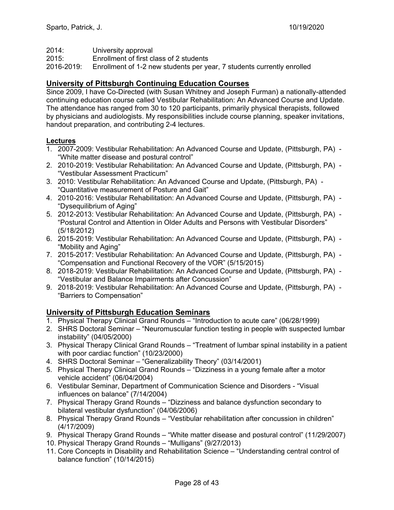2014: University approval

2015: Enrollment of first class of 2 students

2016-2019: Enrollment of 1-2 new students per year, 7 students currently enrolled

#### **University of Pittsburgh Continuing Education Courses**

Since 2009, I have Co-Directed (with Susan Whitney and Joseph Furman) a nationally-attended continuing education course called Vestibular Rehabilitation: An Advanced Course and Update. The attendance has ranged from 30 to 120 participants, primarily physical therapists, followed by physicians and audiologists. My responsibilities include course planning, speaker invitations, handout preparation, and contributing 2-4 lectures.

#### **Lectures**

- 1. 2007-2009: Vestibular Rehabilitation: An Advanced Course and Update, (Pittsburgh, PA) "White matter disease and postural control"
- 2. 2010-2019: Vestibular Rehabilitation: An Advanced Course and Update, (Pittsburgh, PA) "Vestibular Assessment Practicum"
- 3. 2010: Vestibular Rehabilitation: An Advanced Course and Update, (Pittsburgh, PA) "Quantitative measurement of Posture and Gait"
- 4. 2010-2016: Vestibular Rehabilitation: An Advanced Course and Update, (Pittsburgh, PA) "Dysequilibrium of Aging"
- 5. 2012-2013: Vestibular Rehabilitation: An Advanced Course and Update, (Pittsburgh, PA) "Postural Control and Attention in Older Adults and Persons with Vestibular Disorders" (5/18/2012)
- 6. 2015-2019: Vestibular Rehabilitation: An Advanced Course and Update, (Pittsburgh, PA) "Mobility and Aging"
- 7. 2015-2017: Vestibular Rehabilitation: An Advanced Course and Update, (Pittsburgh, PA) "Compensation and Functional Recovery of the VOR" (5/15/2015)
- 8. 2018-2019: Vestibular Rehabilitation: An Advanced Course and Update, (Pittsburgh, PA) "Vestibular and Balance Impairments after Concussion"
- 9. 2018-2019: Vestibular Rehabilitation: An Advanced Course and Update, (Pittsburgh, PA) "Barriers to Compensation"

## **University of Pittsburgh Education Seminars**

- 1. Physical Therapy Clinical Grand Rounds "Introduction to acute care" (06/28/1999)
- 2. SHRS Doctoral Seminar "Neuromuscular function testing in people with suspected lumbar instability" (04/05/2000)
- 3. Physical Therapy Clinical Grand Rounds "Treatment of lumbar spinal instability in a patient with poor cardiac function" (10/23/2000)
- 4. SHRS Doctoral Seminar "Generalizability Theory" (03/14/2001)
- 5. Physical Therapy Clinical Grand Rounds "Dizziness in a young female after a motor vehicle accident" (06/04/2004)
- 6. Vestibular Seminar, Department of Communication Science and Disorders "Visual influences on balance" (7/14/2004)
- 7. Physical Therapy Grand Rounds "Dizziness and balance dysfunction secondary to bilateral vestibular dysfunction" (04/06/2006)
- 8. Physical Therapy Grand Rounds "Vestibular rehabilitation after concussion in children" (4/17/2009)
- 9. Physical Therapy Grand Rounds "White matter disease and postural control" (11/29/2007)
- 10. Physical Therapy Grand Rounds "Mulligans" (9/27/2013)
- 11. Core Concepts in Disability and Rehabilitation Science "Understanding central control of balance function" (10/14/2015)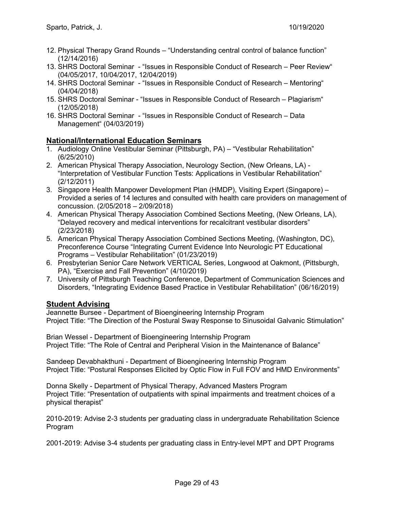- 12. Physical Therapy Grand Rounds "Understanding central control of balance function" (12/14/2016)
- 13. SHRS Doctoral Seminar "Issues in Responsible Conduct of Research Peer Review" (04/05/2017, 10/04/2017, 12/04/2019)
- 14. SHRS Doctoral Seminar "Issues in Responsible Conduct of Research Mentoring" (04/04/2018)
- 15. SHRS Doctoral Seminar "Issues in Responsible Conduct of Research Plagiarism" (12/05/2018)
- 16. SHRS Doctoral Seminar "Issues in Responsible Conduct of Research Data Management" (04/03/2019)

#### **National/International Education Seminars**

- 1. Audiology Online Vestibular Seminar (Pittsburgh, PA) "Vestibular Rehabilitation" (6/25/2010)
- 2. American Physical Therapy Association, Neurology Section, (New Orleans, LA) "Interpretation of Vestibular Function Tests: Applications in Vestibular Rehabilitation" (2/12/2011)
- 3. Singapore Health Manpower Development Plan (HMDP), Visiting Expert (Singapore) Provided a series of 14 lectures and consulted with health care providers on management of concussion. (2/05/2018 – 2/09/2018)
- 4. American Physical Therapy Association Combined Sections Meeting, (New Orleans, LA), "Delayed recovery and medical interventions for recalcitrant vestibular disorders" (2/23/2018)
- 5. American Physical Therapy Association Combined Sections Meeting, (Washington, DC), Preconference Course "Integrating Current Evidence Into Neurologic PT Educational Programs – Vestibular Rehabilitation" (01/23/2019)
- 6. Presbyterian Senior Care Network VERTICAL Series, Longwood at Oakmont, (Pittsburgh, PA), "Exercise and Fall Prevention" (4/10/2019)
- 7. University of Pittsburgh Teaching Conference, Department of Communication Sciences and Disorders, "Integrating Evidence Based Practice in Vestibular Rehabilitation" (06/16/2019)

#### **Student Advising**

Jeannette Bursee - Department of Bioengineering Internship Program Project Title: "The Direction of the Postural Sway Response to Sinusoidal Galvanic Stimulation"

Brian Wessel - Department of Bioengineering Internship Program Project Title: "The Role of Central and Peripheral Vision in the Maintenance of Balance"

Sandeep Devabhakthuni - Department of Bioengineering Internship Program Project Title: "Postural Responses Elicited by Optic Flow in Full FOV and HMD Environments"

Donna Skelly - Department of Physical Therapy, Advanced Masters Program Project Title: "Presentation of outpatients with spinal impairments and treatment choices of a physical therapist"

2010-2019: Advise 2-3 students per graduating class in undergraduate Rehabilitation Science Program

2001-2019: Advise 3-4 students per graduating class in Entry-level MPT and DPT Programs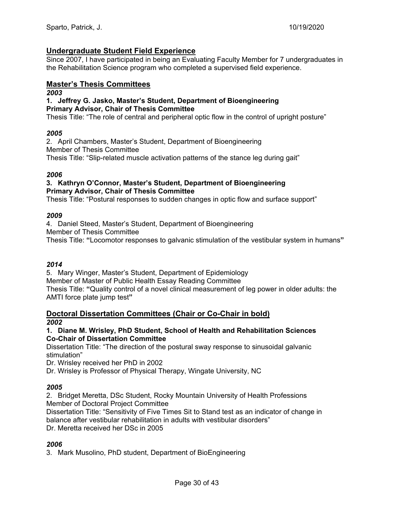#### **Undergraduate Student Field Experience**

Since 2007, I have participated in being an Evaluating Faculty Member for 7 undergraduates in the Rehabilitation Science program who completed a supervised field experience.

#### **Master's Thesis Committees**

#### *2003*

#### **1. Jeffrey G. Jasko, Master's Student, Department of Bioengineering Primary Advisor, Chair of Thesis Committee**

Thesis Title: "The role of central and peripheral optic flow in the control of upright posture"

#### *2005*

2. April Chambers, Master's Student, Department of Bioengineering Member of Thesis Committee Thesis Title: "Slip-related muscle activation patterns of the stance leg during gait"

#### *2006*

#### **3. Kathryn O'Connor, Master's Student, Department of Bioengineering Primary Advisor, Chair of Thesis Committee**

Thesis Title: "Postural responses to sudden changes in optic flow and surface support"

#### *2009*

4. Daniel Steed, Master's Student, Department of Bioengineering Member of Thesis Committee Thesis Title: **"**Locomotor responses to galvanic stimulation of the vestibular system in humans**"** 

#### *2014*

5. Mary Winger, Master's Student, Department of Epidemiology Member of Master of Public Health Essay Reading Committee Thesis Title: **"**Quality control of a novel clinical measurement of leg power in older adults: the AMTI force plate jump test**"** 

#### **Doctoral Dissertation Committees (Chair or Co-Chair in bold)**  *2002*

#### **1. Diane M. Wrisley, PhD Student, School of Health and Rehabilitation Sciences Co-Chair of Dissertation Committee**

Dissertation Title: "The direction of the postural sway response to sinusoidal galvanic stimulation"

Dr. Wrisley received her PhD in 2002

Dr. Wrisley is Professor of Physical Therapy, Wingate University, NC

#### *2005*

2. Bridget Meretta, DSc Student, Rocky Mountain University of Health Professions Member of Doctoral Project Committee

Dissertation Title: "Sensitivity of Five Times Sit to Stand test as an indicator of change in balance after vestibular rehabilitation in adults with vestibular disorders"

Dr. Meretta received her DSc in 2005

## *2006*

3. Mark Musolino, PhD student, Department of BioEngineering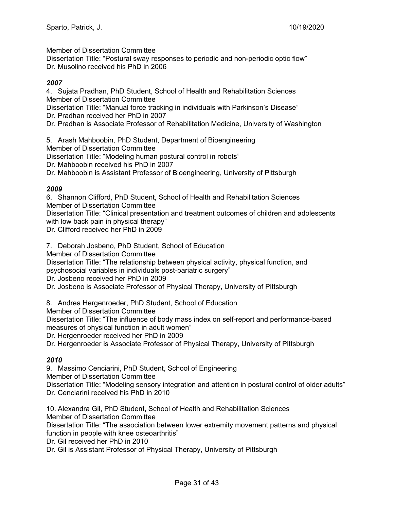Member of Dissertation Committee

Dissertation Title: "Postural sway responses to periodic and non-periodic optic flow" Dr. Musolino received his PhD in 2006

#### *2007*

4. Sujata Pradhan, PhD Student, School of Health and Rehabilitation Sciences Member of Dissertation Committee

Dissertation Title: "Manual force tracking in individuals with Parkinson's Disease" Dr. Pradhan received her PhD in 2007

Dr. Pradhan is Associate Professor of Rehabilitation Medicine, University of Washington

5. Arash Mahboobin, PhD Student, Department of Bioengineering Member of Dissertation Committee

Dissertation Title: "Modeling human postural control in robots"

Dr. Mahboobin received his PhD in 2007

Dr. Mahboobin is Assistant Professor of Bioengineering, University of Pittsburgh

#### *2009*

6. Shannon Clifford, PhD Student, School of Health and Rehabilitation Sciences Member of Dissertation Committee

Dissertation Title: "Clinical presentation and treatment outcomes of children and adolescents with low back pain in physical therapy"

Dr. Clifford received her PhD in 2009

7. Deborah Josbeno, PhD Student, School of Education

Member of Dissertation Committee

Dissertation Title: "The relationship between physical activity, physical function, and

psychosocial variables in individuals post-bariatric surgery"

Dr. Josbeno received her PhD in 2009

Dr. Josbeno is Associate Professor of Physical Therapy, University of Pittsburgh

8. Andrea Hergenroeder, PhD Student, School of Education

Member of Dissertation Committee

Dissertation Title: "The influence of body mass index on self-report and performance-based measures of physical function in adult women"

Dr. Hergenroeder received her PhD in 2009

Dr. Hergenroeder is Associate Professor of Physical Therapy, University of Pittsburgh

#### *2010*

9. Massimo Cenciarini, PhD Student, School of Engineering Member of Dissertation Committee Dissertation Title: "Modeling sensory integration and attention in postural control of older adults" Dr. Cenciarini received his PhD in 2010

10. Alexandra Gil, PhD Student, School of Health and Rehabilitation Sciences Member of Dissertation Committee Dissertation Title: "The association between lower extremity movement patterns and physical function in people with knee osteoarthritis"

Dr. Gil received her PhD in 2010

Dr. Gil is Assistant Professor of Physical Therapy, University of Pittsburgh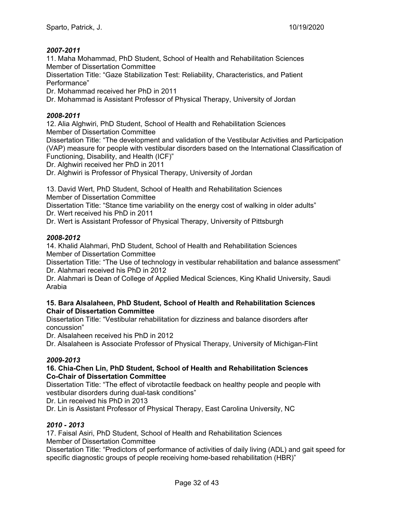#### *2007-2011*

11. Maha Mohammad, PhD Student, School of Health and Rehabilitation Sciences Member of Dissertation Committee

Dissertation Title: "Gaze Stabilization Test: Reliability, Characteristics, and Patient Performance"

Dr. Mohammad received her PhD in 2011

Dr. Mohammad is Assistant Professor of Physical Therapy, University of Jordan

#### *2008-2011*

12. Alia Alghwiri, PhD Student, School of Health and Rehabilitation Sciences Member of Dissertation Committee

Dissertation Title: "The development and validation of the Vestibular Activities and Participation (VAP) measure for people with vestibular disorders based on the International Classification of Functioning, Disability, and Health (ICF)"

Dr. Alghwiri received her PhD in 2011

Dr. Alghwiri is Professor of Physical Therapy, University of Jordan

13. David Wert, PhD Student, School of Health and Rehabilitation Sciences Member of Dissertation Committee

Dissertation Title: "Stance time variability on the energy cost of walking in older adults" Dr. Wert received his PhD in 2011

Dr. Wert is Assistant Professor of Physical Therapy, University of Pittsburgh

#### *2008-2012*

14. Khalid Alahmari, PhD Student, School of Health and Rehabilitation Sciences Member of Dissertation Committee

Dissertation Title: "The Use of technology in vestibular rehabilitation and balance assessment" Dr. Alahmari received his PhD in 2012

Dr. Alahmari is Dean of College of Applied Medical Sciences, King Khalid University, Saudi Arabia

#### **15. Bara Alsalaheen, PhD Student, School of Health and Rehabilitation Sciences Chair of Dissertation Committee**

Dissertation Title: "Vestibular rehabilitation for dizziness and balance disorders after concussion"

Dr. Alsalaheen received his PhD in 2012

Dr. Alsalaheen is Associate Professor of Physical Therapy, University of Michigan-Flint

#### *2009-2013*

#### **16. Chia-Chen Lin, PhD Student, School of Health and Rehabilitation Sciences Co-Chair of Dissertation Committee**

Dissertation Title: "The effect of vibrotactile feedback on healthy people and people with vestibular disorders during dual-task conditions"

Dr. Lin received his PhD in 2013

Dr. Lin is Assistant Professor of Physical Therapy, East Carolina University, NC

#### *2010 - 2013*

17. Faisal Asiri, PhD Student, School of Health and Rehabilitation Sciences Member of Dissertation Committee

Dissertation Title: "Predictors of performance of activities of daily living (ADL) and gait speed for specific diagnostic groups of people receiving home-based rehabilitation (HBR)"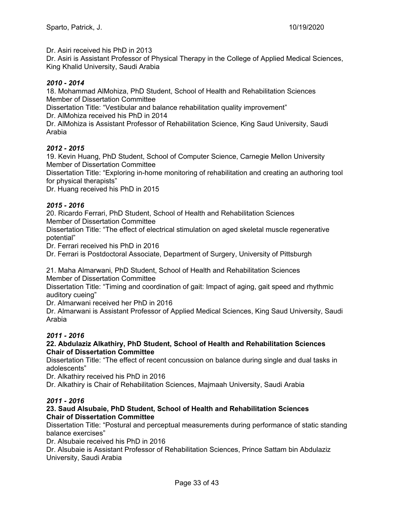Dr. Asiri received his PhD in 2013

Dr. Asiri is Assistant Professor of Physical Therapy in the College of Applied Medical Sciences, King Khalid University, Saudi Arabia

#### *2010 - 2014*

18. Mohammad AlMohiza, PhD Student, School of Health and Rehabilitation Sciences Member of Dissertation Committee

Dissertation Title: "Vestibular and balance rehabilitation quality improvement" Dr. AlMohiza received his PhD in 2014

Dr. AlMohiza is Assistant Professor of Rehabilitation Science, King Saud University, Saudi Arabia

#### *2012 - 2015*

19. Kevin Huang, PhD Student, School of Computer Science, Carnegie Mellon University Member of Dissertation Committee

Dissertation Title: "Exploring in-home monitoring of rehabilitation and creating an authoring tool for physical therapists"

Dr. Huang received his PhD in 2015

#### *2015 - 2016*

20. Ricardo Ferrari, PhD Student, School of Health and Rehabilitation Sciences Member of Dissertation Committee

Dissertation Title: "The effect of electrical stimulation on aged skeletal muscle regenerative potential"

Dr. Ferrari received his PhD in 2016

Dr. Ferrari is Postdoctoral Associate, Department of Surgery, University of Pittsburgh

21. Maha Almarwani, PhD Student, School of Health and Rehabilitation Sciences Member of Dissertation Committee

Dissertation Title: "Timing and coordination of gait: Impact of aging, gait speed and rhythmic auditory cueing"

Dr. Almarwani received her PhD in 2016

Dr. Almarwani is Assistant Professor of Applied Medical Sciences, King Saud University, Saudi Arabia

#### *2011 - 2016*

#### **22. Abdulaziz Alkathiry, PhD Student, School of Health and Rehabilitation Sciences Chair of Dissertation Committee**

Dissertation Title: "The effect of recent concussion on balance during single and dual tasks in adolescents"

Dr. Alkathiry received his PhD in 2016

Dr. Alkathiry is Chair of Rehabilitation Sciences, Majmaah University, Saudi Arabia

#### *2011 - 2016*

#### **23. Saud Alsubaie, PhD Student, School of Health and Rehabilitation Sciences Chair of Dissertation Committee**

Dissertation Title: "Postural and perceptual measurements during performance of static standing balance exercises"

Dr. Alsubaie received his PhD in 2016

Dr. Alsubaie is Assistant Professor of Rehabilitation Sciences, Prince Sattam bin Abdulaziz University, Saudi Arabia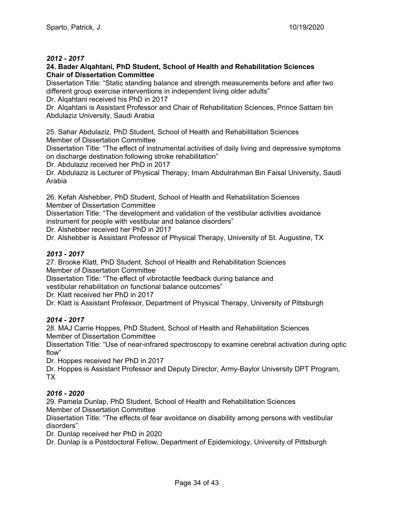#### *2012 - 2017*

#### **24. Bader Alqahtani, PhD Student, School of Health and Rehabilitation Sciences Chair of Dissertation Committee**

Dissertation Title: "Static standing balance and strength measurements before and after two different group exercise interventions in independent living older adults"

Dr. Alqahtani received his PhD in 2017

Dr. Alqahtani is Assistant Professor and Chair of Rehabilitation Sciences, Prince Sattam bin Abdulaziz University, Saudi Arabia

25. Sahar Abdulaziz, PhD Student, School of Health and Rehabilitation Sciences Member of Dissertation Committee

Dissertation Title: "The effect of instrumental activities of daily living and depressive symptoms on discharge destination following stroke rehabilitation"

Dr. Abdulaziz received her PhD in 2017

Dr. Abdulaziz is Lecturer of Physical Therapy, Imam Abdulrahman Bin Faisal University, Saudi Arabia

26. Kefah Alshebber, PhD Student, School of Health and Rehabilitation Sciences Member of Dissertation Committee

Dissertation Title: "The development and validation of the vestibular activities avoidance instrument for people with vestibular and balance disorders"

Dr. Alshebber received her PhD in 2017

Dr. Alshebber is Assistant Professor of Physical Therapy, University of St. Augustine, TX

#### *2013 - 2017*

27. Brooke Klatt, PhD Student, School of Health and Rehabilitation Sciences Member of Dissertation Committee

Dissertation Title: "The effect of vibrotactile feedback during balance and

vestibular rehabilitation on functional balance outcomes"

Dr. Klatt received her PhD in 2017

Dr. Klatt is Assistant Professor, Department of Physical Therapy, University of Pittsburgh

#### *2014 - 2017*

28. MAJ Carrie Hoppes, PhD Student, School of Health and Rehabilitation Sciences Member of Dissertation Committee

Dissertation Title: "Use of near-infrared spectroscopy to examine cerebral activation during optic flow"

Dr. Hoppes received her PhD in 2017

Dr. Hoppes is Assistant Professor and Deputy Director, Army-Baylor University DPT Program, TX

#### *2016 - 2020*

29. Pamela Dunlap, PhD Student, School of Health and Rehabilitation Sciences Member of Dissertation Committee

Dissertation Title: "The effects of fear avoidance on disability among persons with vestibular disorders"

Dr. Dunlap received her PhD in 2020

Dr. Dunlap is a Postdoctoral Fellow, Department of Epidemiology, University of Pittsburgh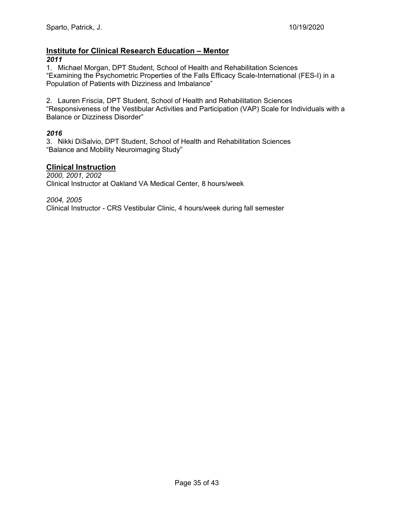# **Institute for Clinical Research Education – Mentor**

#### *2011*

1. Michael Morgan, DPT Student, School of Health and Rehabilitation Sciences "Examining the Psychometric Properties of the Falls Efficacy Scale-International (FES-I) in a Population of Patients with Dizziness and Imbalance"

2. Lauren Friscia, DPT Student, School of Health and Rehabilitation Sciences "Responsiveness of the Vestibular Activities and Participation (VAP) Scale for Individuals with a Balance or Dizziness Disorder"

#### *2016*

3. Nikki DiSalvio, DPT Student, School of Health and Rehabilitation Sciences "Balance and Mobility Neuroimaging Study"

#### **Clinical Instruction**

*2000, 2001, 2002*  Clinical Instructor at Oakland VA Medical Center, 8 hours/week

*2004, 2005*  Clinical Instructor - CRS Vestibular Clinic, 4 hours/week during fall semester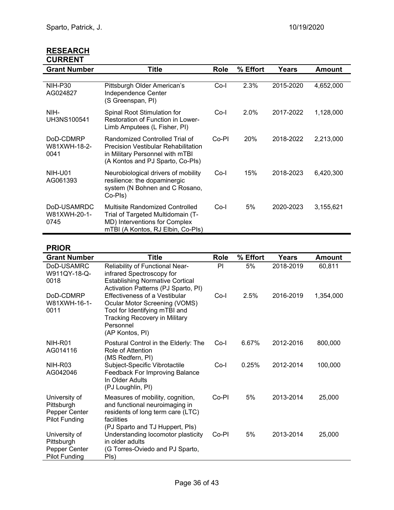| <b>RESEARCH</b> |
|-----------------|
| <b>CURRENT</b>  |

| <b>Grant Number</b>                 | Title                                                                                                                                               | <b>Role</b> | % Effort | Years     | <b>Amount</b> |
|-------------------------------------|-----------------------------------------------------------------------------------------------------------------------------------------------------|-------------|----------|-----------|---------------|
|                                     |                                                                                                                                                     |             |          |           |               |
| NIH-P30<br>AG024827                 | Pittsburgh Older American's<br>Independence Center<br>(S Greenspan, PI)                                                                             | Co-l        | 2.3%     | 2015-2020 | 4,652,000     |
| NIH-<br>UH3NS100541                 | Spinal Root Stimulation for<br>Restoration of Function in Lower-<br>Limb Amputees (L Fisher, PI)                                                    | Co-l        | 2.0%     | 2017-2022 | 1,128,000     |
| DoD-CDMRP<br>W81XWH-18-2-<br>0041   | Randomized Controlled Trial of<br><b>Precision Vestibular Rehabilitation</b><br>in Military Personnel with mTBI<br>(A Kontos and PJ Sparto, Co-Pls) | Co-PI       | 20%      | 2018-2022 | 2,213,000     |
| NIH-U01<br>AG061393                 | Neurobiological drivers of mobility<br>resilience: the dopaminergic<br>system (N Bohnen and C Rosano,<br>Co-Pls)                                    | Co-l        | 15%      | 2018-2023 | 6,420,300     |
| DoD-USAMRDC<br>W81XWH-20-1-<br>0745 | Multisite Randomized Controlled<br>Trial of Targeted Multidomain (T-<br>MD) Interventions for Complex<br>mTBI (A Kontos, RJ Elbin, Co-Pls)          | $Co-I$      | 5%       | 2020-2023 | 3,155,621     |

# **PRIOR**

| <b>Grant Number</b>                                                  | <b>Title</b>                                                                                                                                                                          | <b>Role</b> | % Effort | Years     | <b>Amount</b> |
|----------------------------------------------------------------------|---------------------------------------------------------------------------------------------------------------------------------------------------------------------------------------|-------------|----------|-----------|---------------|
| DoD-USAMRC<br>W911QY-18-Q-<br>0018                                   | Reliability of Functional Near-<br>infrared Spectroscopy for<br><b>Establishing Normative Cortical</b><br>Activation Patterns (PJ Sparto, PI)                                         | PI          | 5%       | 2018-2019 | 60,811        |
| DoD-CDMRP<br>W81XWH-16-1-<br>0011                                    | <b>Effectiveness of a Vestibular</b><br><b>Ocular Motor Screening (VOMS)</b><br>Tool for Identifying mTBI and<br><b>Tracking Recovery in Military</b><br>Personnel<br>(AP Kontos, PI) | Co-l        | 2.5%     | 2016-2019 | 1,354,000     |
| NIH-R01<br>AG014116                                                  | Postural Control in the Elderly: The<br>Role of Attention<br>(MS Redfern, PI)                                                                                                         | Co-l        | 6.67%    | 2012-2016 | 800,000       |
| NIH-R03<br>AG042046                                                  | Subject-Specific Vibrotactile<br><b>Feedback For Improving Balance</b><br>In Older Adults<br>(PJ Loughlin, PI)                                                                        | $Co-I$      | 0.25%    | 2012-2014 | 100,000       |
| University of<br>Pittsburgh<br>Pepper Center<br><b>Pilot Funding</b> | Measures of mobility, cognition,<br>and functional neuroimaging in<br>residents of long term care (LTC)<br>facilities<br>(PJ Sparto and TJ Huppert, Pls)                              | Co-PI       | 5%       | 2013-2014 | 25,000        |
| University of<br>Pittsburgh<br>Pepper Center<br><b>Pilot Funding</b> | Understanding locomotor plasticity<br>in older adults<br>(G Torres-Oviedo and PJ Sparto,<br>Pls)                                                                                      | Co-PI       | 5%       | 2013-2014 | 25,000        |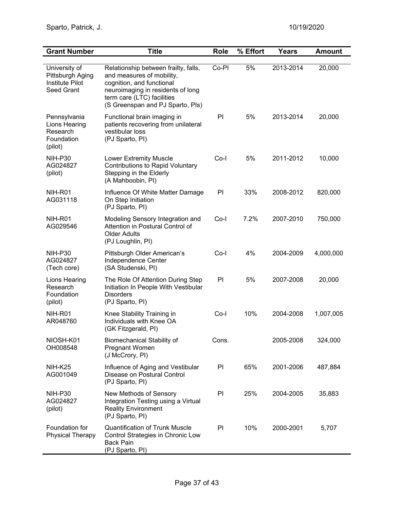| <b>Grant Number</b>                                                              | <b>Title</b>                                                                                                                                                                                          | Role  | % Effort | <b>Years</b> | <b>Amount</b> |
|----------------------------------------------------------------------------------|-------------------------------------------------------------------------------------------------------------------------------------------------------------------------------------------------------|-------|----------|--------------|---------------|
| University of<br>Pittsburgh Aging<br><b>Institute Pilot</b><br><b>Seed Grant</b> | Relationship between frailty, falls,<br>and measures of mobility,<br>cognition, and functional<br>neuroimaging in residents of long<br>term care (LTC) facilities<br>(S Greenspan and PJ Sparto, Pls) | Co-PI | 5%       | 2013-2014    | 20,000        |
| Pennsylvania<br>Lions Hearing<br>Research<br>Foundation<br>(pilot)               | Functional brain imaging in<br>patients recovering from unilateral<br>vestibular loss<br>(PJ Sparto, PI)                                                                                              | PI    | 5%       | 2013-2014    | 20,000        |
| <b>NIH-P30</b><br>AG024827<br>(pilot)                                            | <b>Lower Extremity Muscle</b><br><b>Contributions to Rapid Voluntary</b><br>Stepping in the Elderly<br>(A Mahboobin, PI)                                                                              | Co-l  | 5%       | 2011-2012    | 10,000        |
| NIH-R01<br>AG031118                                                              | Influence Of White Matter Damage<br>On Step Initiation<br>(PJ Sparto, PI)                                                                                                                             | PI    | 33%      | 2008-2012    | 820,000       |
| NIH-R01<br>AG029546                                                              | Modeling Sensory Integration and<br>Attention in Postural Control of<br><b>Older Adults</b><br>(PJ Loughlin, PI)                                                                                      | Co-l  | 7.2%     | 2007-2010    | 750,000       |
| <b>NIH-P30</b><br>AG024827<br>(Tech core)                                        | Pittsburgh Older American's<br>Independence Center<br>(SA Studenski, PI)                                                                                                                              | Co-l  | 4%       | 2004-2009    | 4,000,000     |
| Lions Hearing<br>Research<br>Foundation<br>(pilot)                               | The Role Of Attention During Step<br>Initiation In People With Vestibular<br><b>Disorders</b><br>(PJ Sparto, PI)                                                                                      | PI    | 5%       | 2007-2008    | 20,000        |
| NIH-R01<br>AR048760                                                              | Knee Stability Training in<br>Individuals with Knee OA<br>(GK Fitzgerald, PI)                                                                                                                         | Co-l  | 10%      | 2004-2008    | 1,007,005     |
| NIOSH-K01<br>OH008548                                                            | <b>Biomechanical Stability of</b><br>Pregnant Women<br>(J McCrory, PI)                                                                                                                                | Cons. |          | 2005-2008    | 324,000       |
| <b>NIH-K25</b><br>AG001049                                                       | Influence of Aging and Vestibular<br>Disease on Postural Control<br>(PJ Sparto, PI)                                                                                                                   | PI    | 65%      | 2001-2006    | 487,884       |
| NIH-P30<br>AG024827<br>(pilot)                                                   | New Methods of Sensory<br>Integration Testing using a Virtual<br><b>Reality Environment</b><br>(PJ Sparto, PI)                                                                                        | PI    | 25%      | 2004-2005    | 35,883        |
| Foundation for<br><b>Physical Therapy</b>                                        | <b>Quantification of Trunk Muscle</b><br>Control Strategies in Chronic Low<br><b>Back Pain</b><br>(PJ Sparto, PI)                                                                                     | PI    | 10%      | 2000-2001    | 5,707         |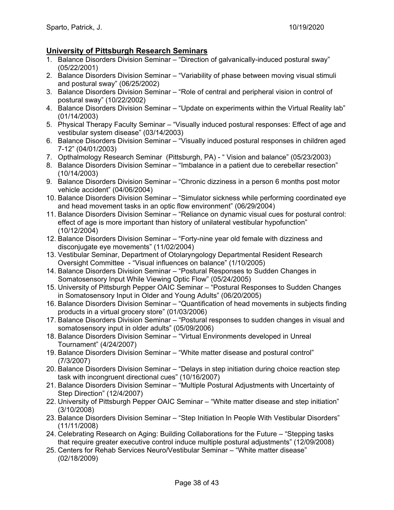## **University of Pittsburgh Research Seminars**

- 1. Balance Disorders Division Seminar "Direction of galvanically-induced postural sway" (05/22/2001)
- 2. Balance Disorders Division Seminar "Variability of phase between moving visual stimuli and postural sway" (06/25/2002)
- 3. Balance Disorders Division Seminar "Role of central and peripheral vision in control of postural sway" (10/22/2002)
- 4. Balance Disorders Division Seminar "Update on experiments within the Virtual Reality lab" (01/14/2003)
- 5. Physical Therapy Faculty Seminar "Visually induced postural responses: Effect of age and vestibular system disease" (03/14/2003)
- 6. Balance Disorders Division Seminar "Visually induced postural responses in children aged 7-12" (04/01/2003)
- 7. Opthalmology Research Seminar (Pittsburgh, PA) " Vision and balance" (05/23/2003)
- 8. Balance Disorders Division Seminar "Imbalance in a patient due to cerebellar resection" (10/14/2003)
- 9. Balance Disorders Division Seminar "Chronic dizziness in a person 6 months post motor vehicle accident" (04/06/2004)
- 10. Balance Disorders Division Seminar "Simulator sickness while performing coordinated eye and head movement tasks in an optic flow environment" (06/29/2004)
- 11. Balance Disorders Division Seminar "Reliance on dynamic visual cues for postural control: effect of age is more important than history of unilateral vestibular hypofunction" (10/12/2004)
- 12. Balance Disorders Division Seminar "Forty-nine year old female with dizziness and disconjugate eye movements" (11/02/2004)
- 13. Vestibular Seminar, Department of Otolaryngology Departmental Resident Research Oversight Committee - "Visual influences on balance" (1/10/2005)
- 14. Balance Disorders Division Seminar "Postural Responses to Sudden Changes in Somatosensory Input While Viewing Optic Flow" (05/24/2005)
- 15. University of Pittsburgh Pepper OAIC Seminar "Postural Responses to Sudden Changes in Somatosensory Input in Older and Young Adults" (06/20/2005)
- 16. Balance Disorders Division Seminar "Quantification of head movements in subjects finding products in a virtual grocery store" (01/03/2006)
- 17. Balance Disorders Division Seminar "Postural responses to sudden changes in visual and somatosensory input in older adults" (05/09/2006)
- 18. Balance Disorders Division Seminar "Virtual Environments developed in Unreal Tournament" (4/24/2007)
- 19. Balance Disorders Division Seminar "White matter disease and postural control" (7/3/2007)
- 20. Balance Disorders Division Seminar "Delays in step initiation during choice reaction step task with incongruent directional cues" (10/16/2007)
- 21. Balance Disorders Division Seminar "Multiple Postural Adjustments with Uncertainty of Step Direction" (12/4/2007)
- 22. University of Pittsburgh Pepper OAIC Seminar "White matter disease and step initiation" (3/10/2008)
- 23. Balance Disorders Division Seminar "Step Initiation In People With Vestibular Disorders" (11/11/2008)
- 24. Celebrating Research on Aging: Building Collaborations for the Future "Stepping tasks that require greater executive control induce multiple postural adjustments" (12/09/2008)
- 25. Centers for Rehab Services Neuro/Vestibular Seminar "White matter disease" (02/18/2009)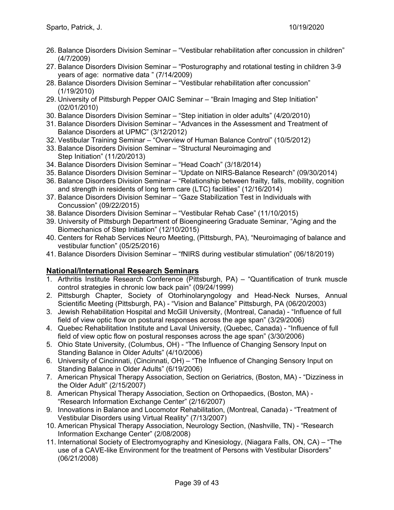- 26. Balance Disorders Division Seminar "Vestibular rehabilitation after concussion in children" (4/7/2009)
- 27. Balance Disorders Division Seminar "Posturography and rotational testing in children 3-9 years of age: normative data " (7/14/2009)
- 28. Balance Disorders Division Seminar "Vestibular rehabilitation after concussion" (1/19/2010)
- 29. University of Pittsburgh Pepper OAIC Seminar "Brain Imaging and Step Initiation" (02/01/2010)
- 30. Balance Disorders Division Seminar "Step initiation in older adults" (4/20/2010)
- 31. Balance Disorders Division Seminar "Advances in the Assessment and Treatment of Balance Disorders at UPMC" (3/12/2012)
- 32. Vestibular Training Seminar "Overview of Human Balance Control" (10/5/2012)
- 33. Balance Disorders Division Seminar "Structural Neuroimaging and Step Initiation" (11/20/2013)
- 34. Balance Disorders Division Seminar "Head Coach" (3/18/2014)
- 35. Balance Disorders Division Seminar "Update on NIRS-Balance Research" (09/30/2014)
- 36. Balance Disorders Division Seminar "Relationship between frailty, falls, mobility, cognition and strength in residents of long term care (LTC) facilities" (12/16/2014)
- 37. Balance Disorders Division Seminar "Gaze Stabilization Test in Individuals with Concussion" (09/22/2015)
- 38. Balance Disorders Division Seminar "Vestibular Rehab Case" (11/10/2015)
- 39. University of Pittsburgh Department of Bioengineering Graduate Seminar, "Aging and the Biomechanics of Step Initiation" (12/10/2015)
- 40. Centers for Rehab Services Neuro Meeting, (Pittsburgh, PA), "Neuroimaging of balance and vestibular function" (05/25/2016)
- 41. Balance Disorders Division Seminar "fNIRS during vestibular stimulation" (06/18/2019)

## **National/International Research Seminars**

- 1. Arthritis Institute Research Conference (Pittsburgh, PA) "Quantification of trunk muscle control strategies in chronic low back pain" (09/24/1999)
- 2. Pittsburgh Chapter, Society of Otorhinolaryngology and Head-Neck Nurses, Annual Scientific Meeting (Pittsburgh, PA) - "Vision and Balance" Pittsburgh, PA (06/20/2003)
- 3. Jewish Rehabilitation Hospital and McGill University, (Montreal, Canada) "Influence of full field of view optic flow on postural responses across the age span" (3/29/2006)
- 4. Quebec Rehabilitation Institute and Laval University, (Quebec, Canada) "Influence of full field of view optic flow on postural responses across the age span" (3/30/2006)
- 5. Ohio State University, (Columbus, OH) "The Influence of Changing Sensory Input on Standing Balance in Older Adults" (4/10/2006)
- 6. University of Cincinnati, (Cincinnati, OH) "The Influence of Changing Sensory Input on Standing Balance in Older Adults" (6/19/2006)
- 7. American Physical Therapy Association, Section on Geriatrics, (Boston, MA) "Dizziness in the Older Adult" (2/15/2007)
- 8. American Physical Therapy Association, Section on Orthopaedics, (Boston, MA) "Research Information Exchange Center" (2/16/2007)
- 9. Innovations in Balance and Locomotor Rehabilitation, (Montreal, Canada) "Treatment of Vestibular Disorders using Virtual Reality" (7/13/2007)
- 10. American Physical Therapy Association, Neurology Section, (Nashville, TN) "Research Information Exchange Center" (2/08/2008)
- 11. International Society of Electromyography and Kinesiology, (Niagara Falls, ON, CA) "The use of a CAVE-like Environment for the treatment of Persons with Vestibular Disorders" (06/21/2008)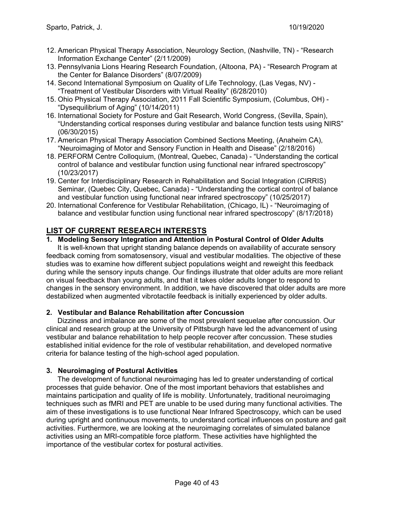- 12. American Physical Therapy Association, Neurology Section, (Nashville, TN) "Research Information Exchange Center" (2/11/2009)
- 13. Pennsylvania Lions Hearing Research Foundation, (Altoona, PA) "Research Program at the Center for Balance Disorders" (8/07/2009)
- 14. Second International Symposium on Quality of Life Technology, (Las Vegas, NV) "Treatment of Vestibular Disorders with Virtual Reality" (6/28/2010)
- 15. Ohio Physical Therapy Association, 2011 Fall Scientific Symposium, (Columbus, OH) "Dysequilibrium of Aging" (10/14/2011)
- 16. International Society for Posture and Gait Research, World Congress, (Sevilla, Spain), "Understanding cortical responses during vestibular and balance function tests using NIRS" (06/30/2015)
- 17. American Physical Therapy Association Combined Sections Meeting, (Anaheim CA), "Neuroimaging of Motor and Sensory Function in Health and Disease" (2/18/2016)
- 18. PERFORM Centre Colloquium, (Montreal, Quebec, Canada) "Understanding the cortical control of balance and vestibular function using functional near infrared spectroscopy" (10/23/2017)
- 19. Center for Interdisciplinary Research in Rehabilitation and Social Integration (CIRRIS) Seminar, (Quebec City, Quebec, Canada) - "Understanding the cortical control of balance and vestibular function using functional near infrared spectroscopy" (10/25/2017)
- 20. International Conference for Vestibular Rehabilitation, (Chicago, IL) "Neuroimaging of balance and vestibular function using functional near infrared spectroscopy" (8/17/2018)

## **LIST OF CURRENT RESEARCH INTERESTS**

#### **1. Modeling Sensory Integration and Attention in Postural Control of Older Adults**

It is well-known that upright standing balance depends on availability of accurate sensory feedback coming from somatosensory, visual and vestibular modalities. The objective of these studies was to examine how different subject populations weight and reweight this feedback during while the sensory inputs change. Our findings illustrate that older adults are more reliant on visual feedback than young adults, and that it takes older adults longer to respond to changes in the sensory environment. In addition, we have discovered that older adults are more destabilized when augmented vibrotactile feedback is initially experienced by older adults.

#### **2. Vestibular and Balance Rehabilitation after Concussion**

Dizziness and imbalance are some of the most prevalent sequelae after concussion. Our clinical and research group at the University of Pittsburgh have led the advancement of using vestibular and balance rehabilitation to help people recover after concussion. These studies established initial evidence for the role of vestibular rehabilitation, and developed normative criteria for balance testing of the high-school aged population.

#### **3. Neuroimaging of Postural Activities**

The development of functional neuroimaging has led to greater understanding of cortical processes that guide behavior. One of the most important behaviors that establishes and maintains participation and quality of life is mobility. Unfortunately, traditional neuroimaging techniques such as fMRI and PET are unable to be used during many functional activities. The aim of these investigations is to use functional Near Infrared Spectroscopy, which can be used during upright and continuous movements, to understand cortical influences on posture and gait activities. Furthermore, we are looking at the neuroimaging correlates of simulated balance activities using an MRI-compatible force platform. These activities have highlighted the importance of the vestibular cortex for postural activities.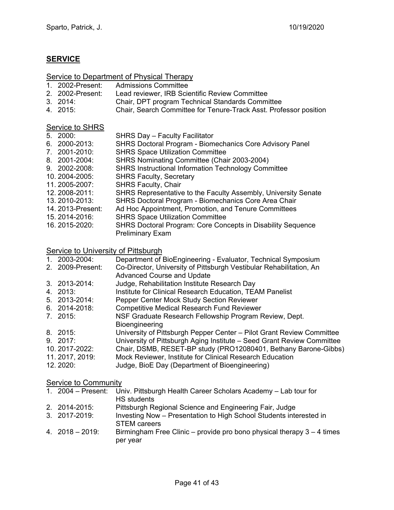## **SERVICE**

## Service to Department of Physical Therapy

- 1. 2002-Present: Admissions Committee
- 
- 2. 2002-Present:Lead reviewer, IRB Scientific Review Committee 3. 2014: Chair, DPT program Technical Standards Committee
- 4. 2015: Chair, Search Committee for Tenure-Track Asst. Professor position

#### Service to SHRS

| 5. 2000:          | <b>SHRS Day - Faculty Facilitator</b>                              |
|-------------------|--------------------------------------------------------------------|
| 6. 2000-2013:     | <b>SHRS Doctoral Program - Biomechanics Core Advisory Panel</b>    |
| 7. 2001-2010:     | <b>SHRS Space Utilization Committee</b>                            |
| 8. 2001-2004:     | SHRS Nominating Committee (Chair 2003-2004)                        |
| 9. 2002-2008:     | <b>SHRS Instructional Information Technology Committee</b>         |
| 10.2004-2005:     | <b>SHRS Faculty, Secretary</b>                                     |
| 11.2005-2007:     | <b>SHRS Faculty, Chair</b>                                         |
| 12. 2008-2011:    | SHRS Representative to the Faculty Assembly, University Senate     |
| 13.2010-2013:     | SHRS Doctoral Program - Biomechanics Core Area Chair               |
| 14. 2013-Present: | Ad Hoc Appointment, Promotion, and Tenure Committees               |
| 15.2014-2016:     | <b>SHRS Space Utilization Committee</b>                            |
| 16. 2015-2020:    | <b>SHRS Doctoral Program: Core Concepts in Disability Sequence</b> |
|                   | <b>Preliminary Exam</b>                                            |

#### Service to University of Pittsburgh

| 1. 2003-2004:    | Department of BioEngineering - Evaluator, Technical Symposium          |
|------------------|------------------------------------------------------------------------|
| 2. 2009-Present: | Co-Director, University of Pittsburgh Vestibular Rehabilitation, An    |
|                  | <b>Advanced Course and Update</b>                                      |
| 3. 2013-2014:    | Judge, Rehabilitation Institute Research Day                           |
| 4. 2013:         | Institute for Clinical Research Education, TEAM Panelist               |
| 5. 2013-2014:    | Pepper Center Mock Study Section Reviewer                              |
| 6. 2014-2018:    | <b>Competitive Medical Research Fund Reviewer</b>                      |
| 7. 2015:         | NSF Graduate Research Fellowship Program Review, Dept.                 |
|                  | Bioengineering                                                         |
| 8. 2015:         | University of Pittsburgh Pepper Center - Pilot Grant Review Committee  |
| 9.2017           | University of Pittsburgh Aging Institute - Seed Grant Review Committee |
| 10.2017-2022:    | Chair, DSMB, RESET-BP study (PRO12080401, Bethany Barone-Gibbs)        |
| 11. 2017, 2019:  | Mock Reviewer, Institute for Clinical Research Education               |
| 12. 2020:        | Judge, BioE Day (Department of Bioengineering)                         |

## Service to Community

| 1. $2004 -$ Present:   | Univ. Pittsburgh Health Career Scholars Academy - Lab tour for                            |
|------------------------|-------------------------------------------------------------------------------------------|
|                        | <b>HS</b> students                                                                        |
| 2. 2014-2015:          | Pittsburgh Regional Science and Engineering Fair, Judge                                   |
| 3. 2017-2019:          | Investing Now - Presentation to High School Students interested in<br><b>STEM careers</b> |
| $4. \ \ 2018 - 2019$ : | Birmingham Free Clinic – provide pro bono physical therapy $3 - 4$ times<br>per year      |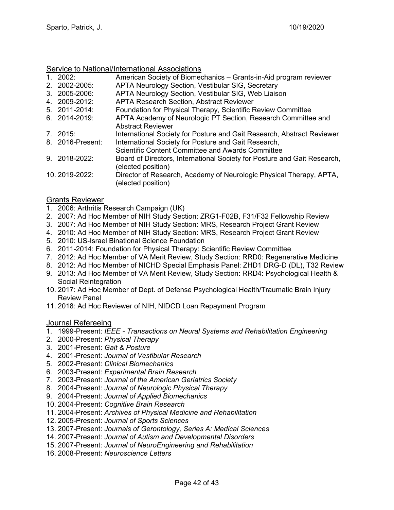#### Service to National/International Associations

- 1. 2002: American Society of Biomechanics Grants-in-Aid program reviewer
- 2. 2002-2005:APTA Neurology Section, Vestibular SIG, Secretary
- 3. 2005-2006:APTA Neurology Section, Vestibular SIG, Web Liaison
- APTA Research Section, Abstract Reviewer
- 5. 2011-2014: Foundation for Physical Therapy, Scientific Review Committee
- 6. 2014-2019: APTA Academy of Neurologic PT Section, Research Committee and Abstract Reviewer
- 7. 2015: International Society for Posture and Gait Research, Abstract Reviewer 8. 2016-Present: International Society for Posture and Gait Research,
- Scientific Content Committee and Awards Committee
- 9. 2018-2022: Board of Directors, International Society for Posture and Gait Research, (elected position)
- 10. 2019-2022: Director of Research, Academy of Neurologic Physical Therapy, APTA, (elected position)

#### Grants Reviewer

- 1. 2006: Arthritis Research Campaign (UK)
- 2. 2007: Ad Hoc Member of NIH Study Section: ZRG1-F02B, F31/F32 Fellowship Review
- 3. 2007: Ad Hoc Member of NIH Study Section: MRS, Research Project Grant Review
- 4. 2010: Ad Hoc Member of NIH Study Section: MRS, Research Project Grant Review
- 5. 2010: US-Israel Binational Science Foundation
- 6. 2011-2014: Foundation for Physical Therapy: Scientific Review Committee
- 7. 2012: Ad Hoc Member of VA Merit Review, Study Section: RRD0: Regenerative Medicine
- 8. 2012: Ad Hoc Member of NICHD Special Emphasis Panel: ZHD1 DRG-D (DL), T32 Review
- 9. 2013: Ad Hoc Member of VA Merit Review, Study Section: RRD4: Psychological Health & Social Reintegration
- 10. 2017: Ad Hoc Member of Dept. of Defense Psychological Health/Traumatic Brain Injury Review Panel
- 11. 2018: Ad Hoc Reviewer of NIH, NIDCD Loan Repayment Program

#### Journal Refereeing

- 1. 1999-Present: *IEEE Transactions on Neural Systems and Rehabilitation Engineering*
- 2. 2000-Present: *Physical Therapy*
- 3. 2001-Present: *Gait & Posture*
- 4. 2001-Present: *Journal of Vestibular Research*
- 5. 2002-Present: *Clinical Biomechanics*
- 6. 2003-Present: *Experimental Brain Research*
- 7. 2003-Present: *Journal of the American Geriatrics Society*
- 8. 2004-Present: *Journal of Neurologic Physical Therapy*
- 9. 2004-Present: *Journal of Applied Biomechanics*
- 10. 2004-Present: *Cognitive Brain Research*
- 11. 2004-Present: *Archives of Physical Medicine and Rehabilitation*
- 12. 2005-Present: *Journal of Sports Sciences*
- 13. 2007-Present: *Journals of Gerontology, Series A: Medical Sciences*
- 14. 2007-Present: *Journal of Autism and Developmental Disorders*
- 15. 2007-Present: *Journal of NeuroEngineering and Rehabilitation*
- 16. 2008-Present: *Neuroscience Letters*